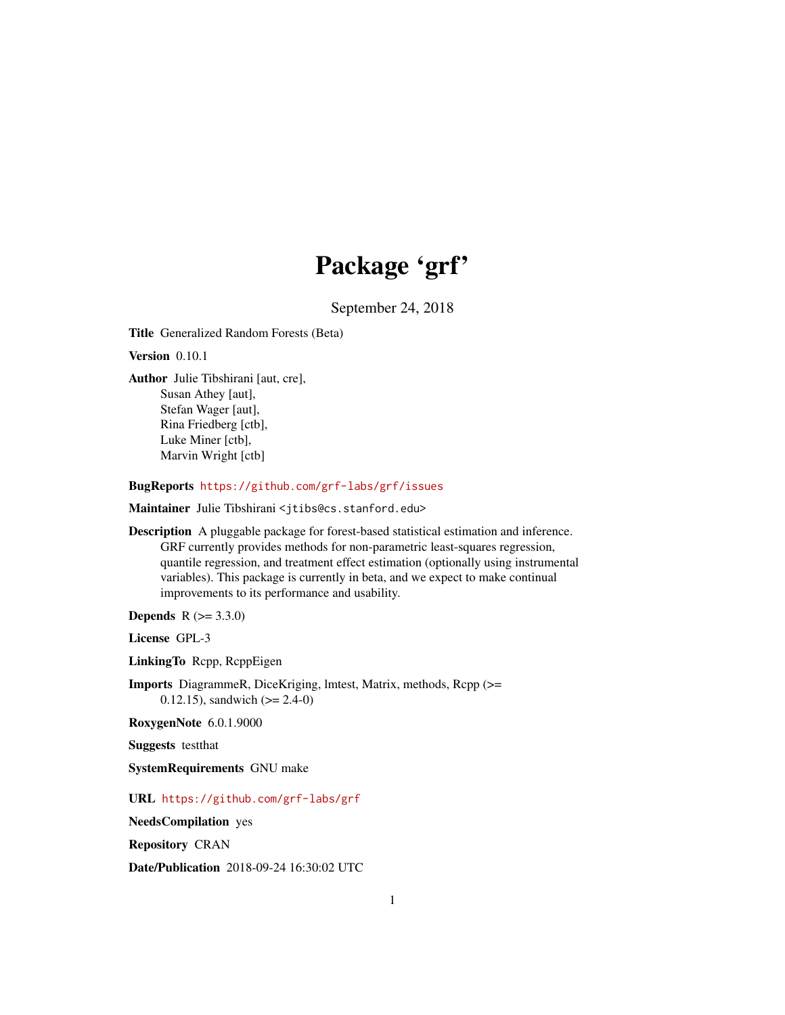# Package 'grf'

September 24, 2018

Title Generalized Random Forests (Beta)

Version 0.10.1

Author Julie Tibshirani [aut, cre], Susan Athey [aut], Stefan Wager [aut], Rina Friedberg [ctb], Luke Miner [ctb], Marvin Wright [ctb]

BugReports <https://github.com/grf-labs/grf/issues>

Maintainer Julie Tibshirani <jtibs@cs.stanford.edu>

Description A pluggable package for forest-based statistical estimation and inference. GRF currently provides methods for non-parametric least-squares regression, quantile regression, and treatment effect estimation (optionally using instrumental variables). This package is currently in beta, and we expect to make continual improvements to its performance and usability.

**Depends**  $R (= 3.3.0)$ 

License GPL-3

LinkingTo Rcpp, RcppEigen

Imports DiagrammeR, DiceKriging, lmtest, Matrix, methods, Rcpp (>= 0.12.15), sandwich  $(>= 2.4-0)$ 

RoxygenNote 6.0.1.9000

Suggests testthat

SystemRequirements GNU make

URL <https://github.com/grf-labs/grf>

NeedsCompilation yes

Repository CRAN

Date/Publication 2018-09-24 16:30:02 UTC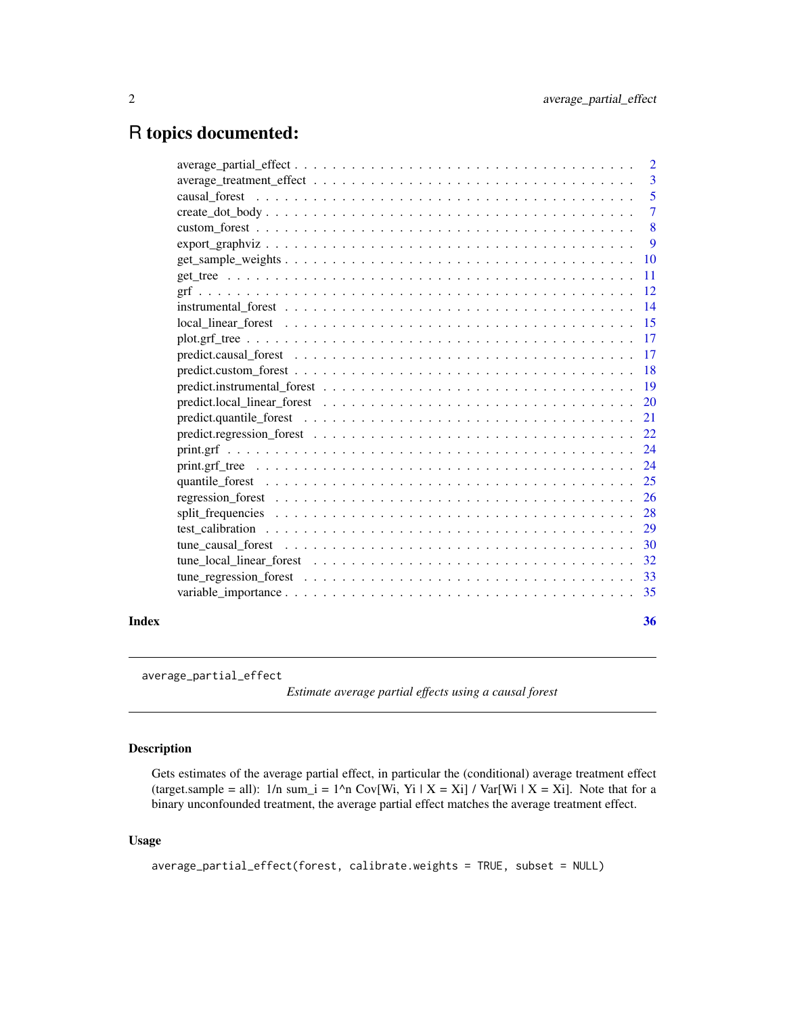# <span id="page-1-0"></span>R topics documented:

|       |                                                                                                                    | $\overline{2}$ |
|-------|--------------------------------------------------------------------------------------------------------------------|----------------|
|       |                                                                                                                    | $\overline{3}$ |
|       |                                                                                                                    | 5              |
|       | $create\_dot\_body \ldots \ldots \ldots \ldots \ldots \ldots \ldots \ldots \ldots \ldots \ldots \ldots \ldots$     | $\overline{7}$ |
|       |                                                                                                                    | $\sqrt{8}$     |
|       |                                                                                                                    | -9             |
|       |                                                                                                                    | -10            |
|       |                                                                                                                    | -11            |
|       | -12                                                                                                                |                |
|       |                                                                                                                    | 14             |
|       |                                                                                                                    | 15             |
|       |                                                                                                                    |                |
|       |                                                                                                                    | 17             |
|       |                                                                                                                    |                |
|       | $predict. instrumental_forest \dots \dots \dots \dots \dots \dots \dots \dots \dots \dots \dots \dots \dots \dots$ | <sup>19</sup>  |
|       |                                                                                                                    | <b>20</b>      |
|       |                                                                                                                    | 21             |
|       |                                                                                                                    | 22             |
|       |                                                                                                                    | 24             |
|       |                                                                                                                    | 24             |
|       |                                                                                                                    | 25             |
|       |                                                                                                                    | 26             |
|       |                                                                                                                    | 28             |
|       |                                                                                                                    | 29             |
|       |                                                                                                                    | <b>30</b>      |
|       |                                                                                                                    | 32             |
|       |                                                                                                                    |                |
|       |                                                                                                                    |                |
| Index |                                                                                                                    | 36             |

average\_partial\_effect

*Estimate average partial effects using a causal forest*

# Description

Gets estimates of the average partial effect, in particular the (conditional) average treatment effect (target.sample = all):  $1/n$  sum\_i =  $1^n$ n Cov[Wi, Yi | X = Xi] / Var[Wi | X = Xi]. Note that for a binary unconfounded treatment, the average partial effect matches the average treatment effect.

# Usage

```
average_partial_effect(forest, calibrate.weights = TRUE, subset = NULL)
```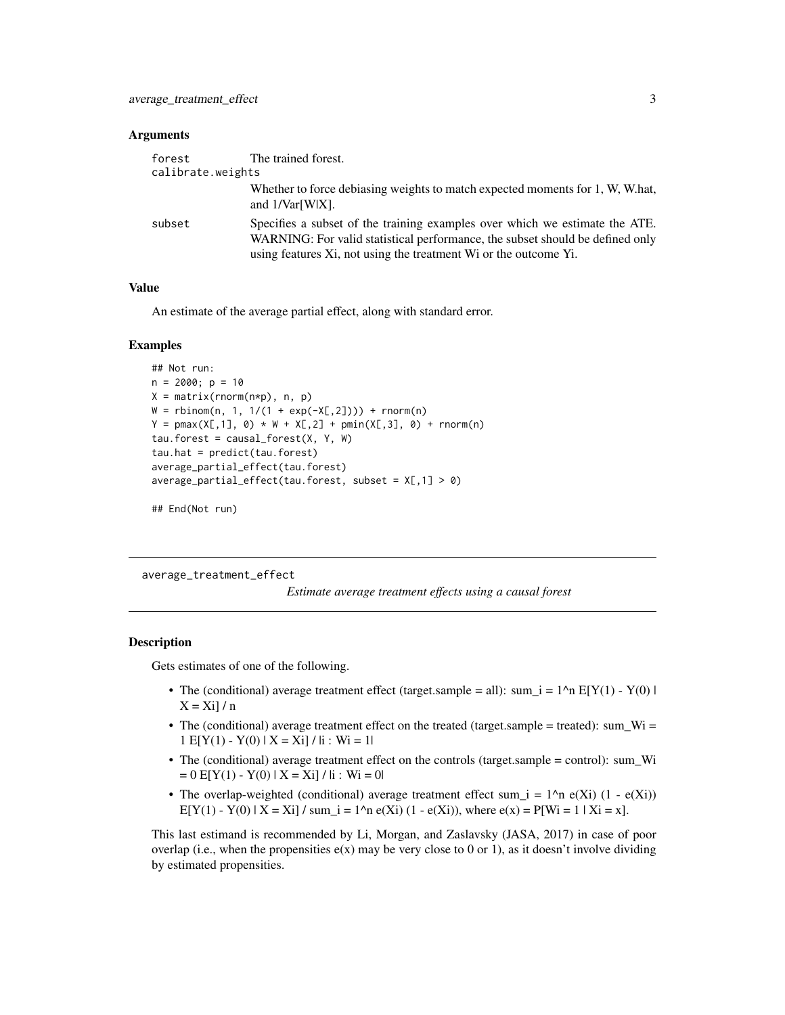#### <span id="page-2-0"></span>**Arguments**

| forest            | The trained forest.                                                                                                                                                                                                              |
|-------------------|----------------------------------------------------------------------------------------------------------------------------------------------------------------------------------------------------------------------------------|
| calibrate.weights |                                                                                                                                                                                                                                  |
|                   | Whether to force debiasing weights to match expected moments for 1, W, W.hat,<br>and $1/\text{Var}[W X]$ .                                                                                                                       |
| subset            | Specifies a subset of the training examples over which we estimate the ATE.<br>WARNING: For valid statistical performance, the subset should be defined only<br>using features Xi, not using the treatment Wi or the outcome Yi. |

# Value

An estimate of the average partial effect, along with standard error.

#### Examples

```
## Not run:
n = 2000; p = 10X = matrix(rnorm(n*p), n, p)W = rbinom(n, 1, 1/(1 + \exp(-X[, 2])) + rnorm(n)
Y = pmax(X[, 1], 0) * W + X[, 2] + pmin(X[, 3], 0) + norm(n)tau. forest = causal_forest(X, Y, W)
tau = predict(tau.forest)average_partial_effect(tau.forest)
average_partial_effect(tau.forest, subset = X[, 1] > 0)
```
## End(Not run)

average\_treatment\_effect

*Estimate average treatment effects using a causal forest*

#### Description

Gets estimates of one of the following.

- The (conditional) average treatment effect (target.sample = all): sum\_i =  $1^{\wedge}n$  E[Y(1) Y(0) |  $X = X_i$ ] / n
- The (conditional) average treatment effect on the treated (target.sample = treated): sum\_Wi =  $1 E[Y(1) - Y(0) | X = Xi] / |i : Wi = 1|$
- The (conditional) average treatment effect on the controls (target.sample = control): sum\_Wi  $= 0$  E[Y(1) - Y(0) | X = Xi] / |i : Wi = 0|
- The overlap-weighted (conditional) average treatment effect sum  $i = 1^{\circ}n e(Xi) (1 e(Xi))$ E[Y(1) - Y(0) | X = Xi] / sum\_i = 1^n e(Xi) (1 - e(Xi)), where e(x) = P[Wi = 1 | Xi = x].

This last estimand is recommended by Li, Morgan, and Zaslavsky (JASA, 2017) in case of poor overlap (i.e., when the propensities  $e(x)$  may be very close to 0 or 1), as it doesn't involve dividing by estimated propensities.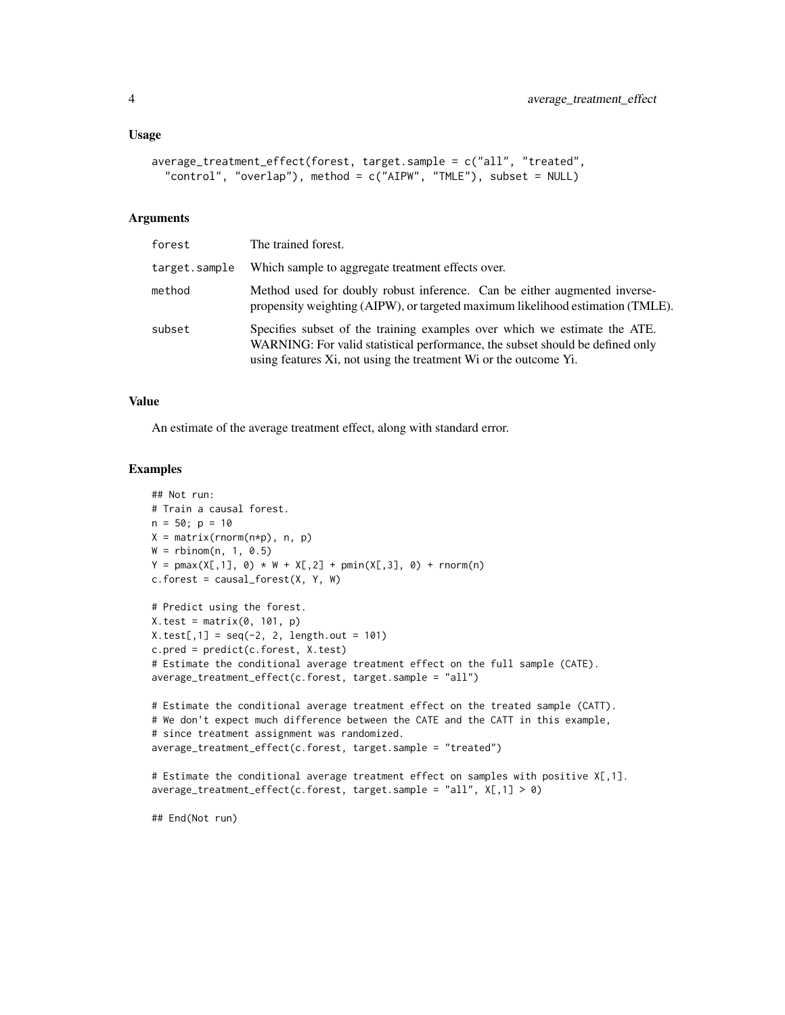```
average_treatment_effect(forest, target.sample = c("all", "treated",
  "control", "overlap"), method = c("AIPW", "TMLE"), subset = NULL)
```
#### Arguments

| forest        | The trained forest.                                                                                                                                                                                                            |
|---------------|--------------------------------------------------------------------------------------------------------------------------------------------------------------------------------------------------------------------------------|
| target.sample | Which sample to aggregate treatment effects over.                                                                                                                                                                              |
| method        | Method used for doubly robust inference. Can be either augmented inverse-<br>propensity weighting (AIPW), or targeted maximum likelihood estimation (TMLE).                                                                    |
| subset        | Specifies subset of the training examples over which we estimate the ATE.<br>WARNING: For valid statistical performance, the subset should be defined only<br>using features Xi, not using the treatment Wi or the outcome Yi. |

#### Value

An estimate of the average treatment effect, along with standard error.

#### Examples

```
## Not run:
# Train a causal forest.
n = 50; p = 10X = matrix(rnorm(n*p), n, p)W = rbinom(n, 1, 0.5)Y = pmax(X[, 1], 0) * W + X[, 2] + pmin(X[, 3], 0) + rnorm(n)c.forest = causal_forest(X, Y, W)# Predict using the forest.
X.test = matrix(0, 101, p)X.test[, 1] = seq(-2, 2, length.out = 101)c.pred = predict(c.forest, X.test)
# Estimate the conditional average treatment effect on the full sample (CATE).
average_treatment_effect(c.forest, target.sample = "all")
# Estimate the conditional average treatment effect on the treated sample (CATT).
# We don't expect much difference between the CATE and the CATT in this example,
# since treatment assignment was randomized.
average_treatment_effect(c.forest, target.sample = "treated")
# Estimate the conditional average treatment effect on samples with positive X[,1].
average_treatment_effect(c.forest, target.sample = "all", X[,1] > 0)
## End(Not run)
```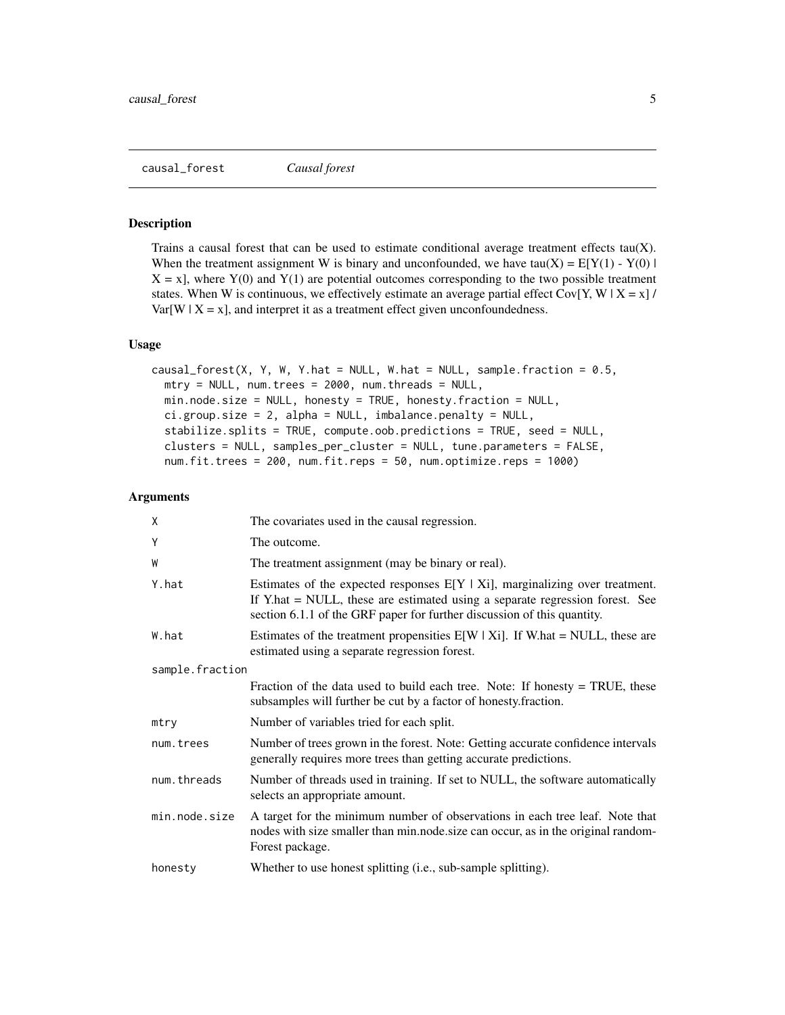<span id="page-4-0"></span>causal\_forest *Causal forest*

#### Description

Trains a causal forest that can be used to estimate conditional average treatment effects tau $(X)$ . When the treatment assignment W is binary and unconfounded, we have tau(X) =  $E[Y(1) - Y(0)]$  $X = x$ , where  $Y(0)$  and  $Y(1)$  are potential outcomes corresponding to the two possible treatment states. When W is continuous, we effectively estimate an average partial effect Cov[Y, W | X = x] /  $Var[W \mid X = x]$ , and interpret it as a treatment effect given unconfoundedness.

#### Usage

```
causal_forest(X, Y, W, Y.hat = NULL, W.hat = NULL, sample.fraction = 0.5,
 mtry = NULL, num.trees = 2000, num.threads = NULL,
 min.node.size = NULL, honesty = TRUE, honesty.fraction = NULL,
  ci.group.size = 2, alpha = NULL, imbalance.penalty = NULL,
  stabilize.splits = TRUE, compute.oob.predictions = TRUE, seed = NULL,
  clusters = NULL, samples_per_cluster = NULL, tune.parameters = FALSE,
  num.fit.trees = 200, num.fit.reps = 50, num.optimize.reps = 1000)
```

| X               | The covariates used in the causal regression.                                                                                                                                                                                               |
|-----------------|---------------------------------------------------------------------------------------------------------------------------------------------------------------------------------------------------------------------------------------------|
| Y               | The outcome.                                                                                                                                                                                                                                |
| W               | The treatment assignment (may be binary or real).                                                                                                                                                                                           |
| Y.hat           | Estimates of the expected responses $E[Y   X_i]$ , marginalizing over treatment.<br>If Y.hat = NULL, these are estimated using a separate regression forest. See<br>section 6.1.1 of the GRF paper for further discussion of this quantity. |
| W.hat           | Estimates of the treatment propensities $E[W   X_i]$ . If W.hat = NULL, these are<br>estimated using a separate regression forest.                                                                                                          |
| sample.fraction |                                                                                                                                                                                                                                             |
|                 | Fraction of the data used to build each tree. Note: If honesty $=$ TRUE, these<br>subsamples will further be cut by a factor of honesty.fraction.                                                                                           |
| mtry            | Number of variables tried for each split.                                                                                                                                                                                                   |
| num.trees       | Number of trees grown in the forest. Note: Getting accurate confidence intervals<br>generally requires more trees than getting accurate predictions.                                                                                        |
| num.threads     | Number of threads used in training. If set to NULL, the software automatically<br>selects an appropriate amount.                                                                                                                            |
| min.node.size   | A target for the minimum number of observations in each tree leaf. Note that<br>nodes with size smaller than min.node.size can occur, as in the original random-<br>Forest package.                                                         |
| honesty         | Whether to use honest splitting (i.e., sub-sample splitting).                                                                                                                                                                               |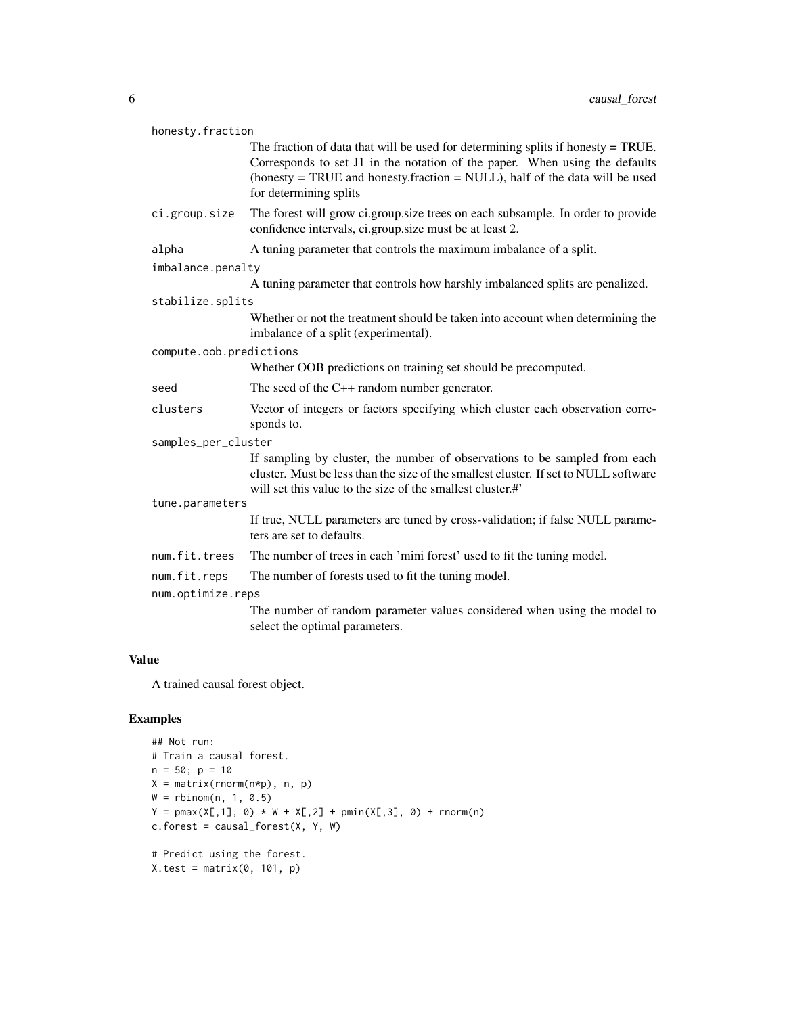| honesty.fraction        |                                                                                                                                                                                                                                                                            |  |
|-------------------------|----------------------------------------------------------------------------------------------------------------------------------------------------------------------------------------------------------------------------------------------------------------------------|--|
|                         | The fraction of data that will be used for determining splits if honesty $=$ TRUE.<br>Corresponds to set J1 in the notation of the paper. When using the defaults<br>(honesty = TRUE and honesty.fraction = NULL), half of the data will be used<br>for determining splits |  |
| ci.group.size           | The forest will grow ci.group.size trees on each subsample. In order to provide<br>confidence intervals, ci.group.size must be at least 2.                                                                                                                                 |  |
| alpha                   | A tuning parameter that controls the maximum imbalance of a split.                                                                                                                                                                                                         |  |
| imbalance.penalty       |                                                                                                                                                                                                                                                                            |  |
|                         | A tuning parameter that controls how harshly imbalanced splits are penalized.                                                                                                                                                                                              |  |
| stabilize.splits        |                                                                                                                                                                                                                                                                            |  |
|                         | Whether or not the treatment should be taken into account when determining the<br>imbalance of a split (experimental).                                                                                                                                                     |  |
| compute.oob.predictions |                                                                                                                                                                                                                                                                            |  |
|                         | Whether OOB predictions on training set should be precomputed.                                                                                                                                                                                                             |  |
| seed                    | The seed of the $C++$ random number generator.                                                                                                                                                                                                                             |  |
| clusters                | Vector of integers or factors specifying which cluster each observation corre-<br>sponds to.                                                                                                                                                                               |  |
| samples_per_cluster     |                                                                                                                                                                                                                                                                            |  |
|                         | If sampling by cluster, the number of observations to be sampled from each<br>cluster. Must be less than the size of the smallest cluster. If set to NULL software<br>will set this value to the size of the smallest cluster.#                                            |  |
| tune.parameters         |                                                                                                                                                                                                                                                                            |  |
|                         | If true, NULL parameters are tuned by cross-validation; if false NULL parame-<br>ters are set to defaults.                                                                                                                                                                 |  |
| num.fit.trees           | The number of trees in each 'mini forest' used to fit the tuning model.                                                                                                                                                                                                    |  |
| num.fit.reps            | The number of forests used to fit the tuning model.                                                                                                                                                                                                                        |  |
| num.optimize.reps       |                                                                                                                                                                                                                                                                            |  |
|                         | The number of random parameter values considered when using the model to<br>select the optimal parameters.                                                                                                                                                                 |  |

#### Value

A trained causal forest object.

# Examples

```
## Not run:
# Train a causal forest.
n = 50; p = 10X = matrix(rnorm(n*p), n, p)W = rbinom(n, 1, 0.5)Y = pmax(X[, 1], 0) * W + X[, 2] + pmin(X[, 3], 0) + rnorm(n)c.forest = causal_forest(X, Y, W)# Predict using the forest.
X.test = matrix(0, 101, p)
```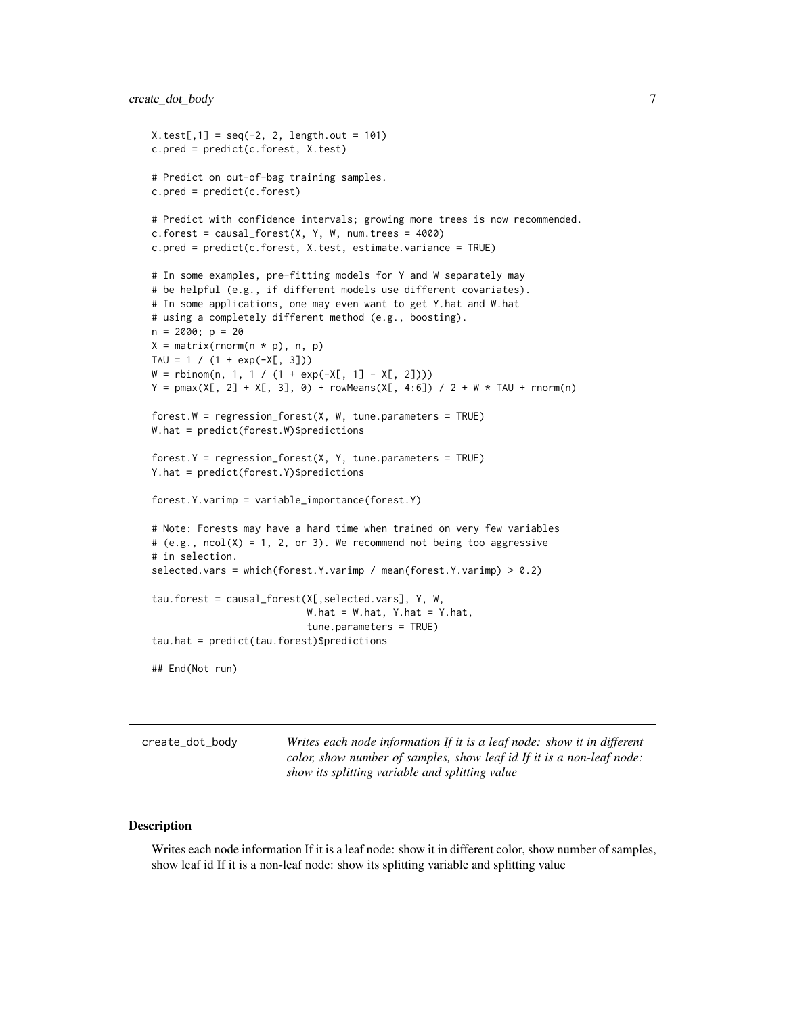```
X.test[, 1] = seq(-2, 2, length.out = 101)c.pred = predict(c.forest, X.test)
# Predict on out-of-bag training samples.
c.pred = predict(c.forest)
# Predict with confidence intervals; growing more trees is now recommended.
c.forest = causal_forest(X, Y, W, num.trees = 4000)c.pred = predict(c.forest, X.test, estimate.variance = TRUE)
# In some examples, pre-fitting models for Y and W separately may
# be helpful (e.g., if different models use different covariates).
# In some applications, one may even want to get Y.hat and W.hat
# using a completely different method (e.g., boosting).
n = 2000; p = 20X = matrix(rnorm(n * p), n, p)TAU = 1 / (1 + exp(-X[, 3]))W = rbinom(n, 1, 1 / (1 + exp(-X[, 1] - X[, 2])))
Y = pmax(X[, 2] + X[, 3], 0) + rowMeans(X[, 4:6]) / 2 + W * TAU + rnorm(n)forest.W = regression_forest(X, W, tune.parameters = TRUE)
W.hat = predict(forest.W)$predictions
forest.Y = regression_forest(X, Y, tune.parameters = TRUE)
Y.hat = predict(forest.Y)$predictions
forest.Y.varimp = variable_importance(forest.Y)
# Note: Forests may have a hard time when trained on very few variables
# (e.g., ncol(X) = 1, 2, or 3). We recommend not being too aggressive
# in selection.
selected.vars = which(forest.Y.varimp / mean(forest.Y.varimp) > 0.2)
tau.forest = causal_forest(X[,selected.vars], Y, W,
                           W.hat = W.hat, Y.hat = Y.hat,
                           tune.parameters = TRUE)
tau.hat = predict(tau.forest)$predictions
## End(Not run)
```
create\_dot\_body *Writes each node information If it is a leaf node: show it in different color, show number of samples, show leaf id If it is a non-leaf node: show its splitting variable and splitting value*

#### Description

Writes each node information If it is a leaf node: show it in different color, show number of samples, show leaf id If it is a non-leaf node: show its splitting variable and splitting value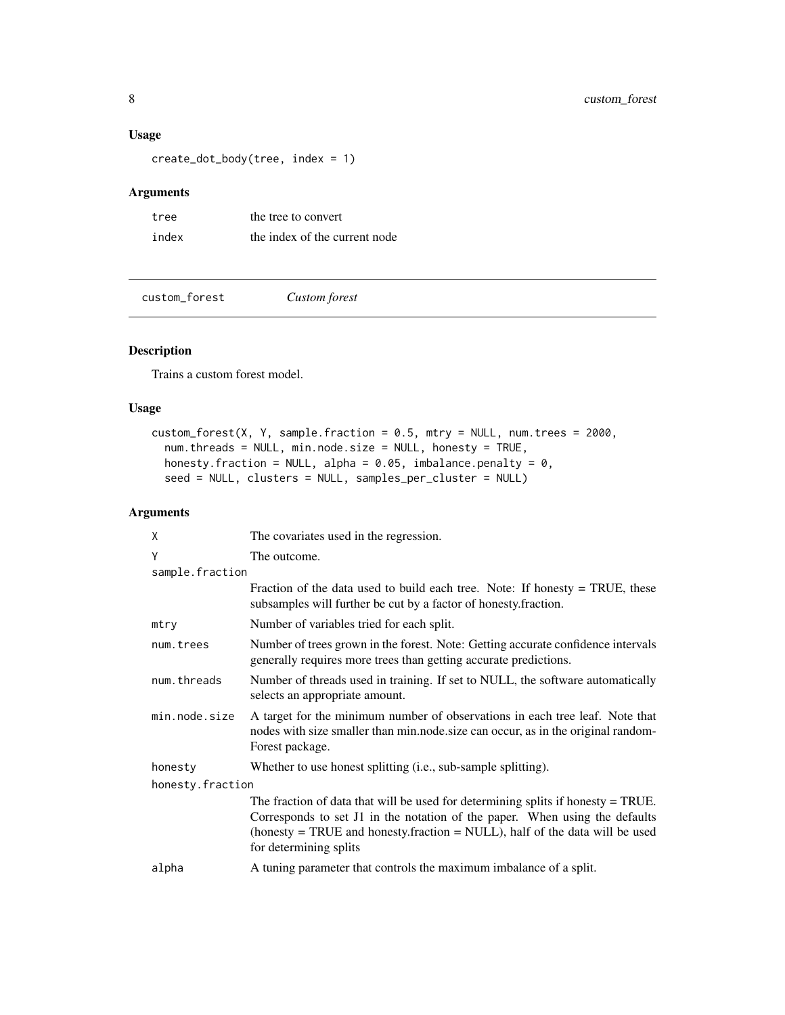# <span id="page-7-0"></span>Usage

create\_dot\_body(tree, index = 1)

# Arguments

| tree  | the tree to convert           |
|-------|-------------------------------|
| index | the index of the current node |

custom\_forest *Custom forest*

# Description

Trains a custom forest model.

# Usage

```
custom_forest(X, Y, sample.fraction = 0.5, mtry = NULL, num.trees = 2000,
 num.threads = NULL, min.node.size = NULL, honesty = TRUE,
 honesty.fraction = NULL, alpha = 0.05, imbalance.penalty = 0,
  seed = NULL, clusters = NULL, samples_per_cluster = NULL)
```

| X                | The covariates used in the regression.                                                                                                                                                                                                                                        |  |
|------------------|-------------------------------------------------------------------------------------------------------------------------------------------------------------------------------------------------------------------------------------------------------------------------------|--|
| Y                | The outcome.                                                                                                                                                                                                                                                                  |  |
| sample.fraction  |                                                                                                                                                                                                                                                                               |  |
|                  | Fraction of the data used to build each tree. Note: If honesty $=$ TRUE, these<br>subsamples will further be cut by a factor of honesty.fraction.                                                                                                                             |  |
| mtry             | Number of variables tried for each split.                                                                                                                                                                                                                                     |  |
| num.trees        | Number of trees grown in the forest. Note: Getting accurate confidence intervals<br>generally requires more trees than getting accurate predictions.                                                                                                                          |  |
| num.threads      | Number of threads used in training. If set to NULL, the software automatically<br>selects an appropriate amount.                                                                                                                                                              |  |
| min.node.size    | A target for the minimum number of observations in each tree leaf. Note that<br>nodes with size smaller than min.node.size can occur, as in the original random-<br>Forest package.                                                                                           |  |
| honesty          | Whether to use honest splitting (i.e., sub-sample splitting).                                                                                                                                                                                                                 |  |
| honesty.fraction |                                                                                                                                                                                                                                                                               |  |
|                  | The fraction of data that will be used for determining splits if honesty $=$ TRUE.<br>Corresponds to set J1 in the notation of the paper. When using the defaults<br>(honesty = TRUE and honesty.fraction = $NULL$ ), half of the data will be used<br>for determining splits |  |
| alpha            | A tuning parameter that controls the maximum imbalance of a split.                                                                                                                                                                                                            |  |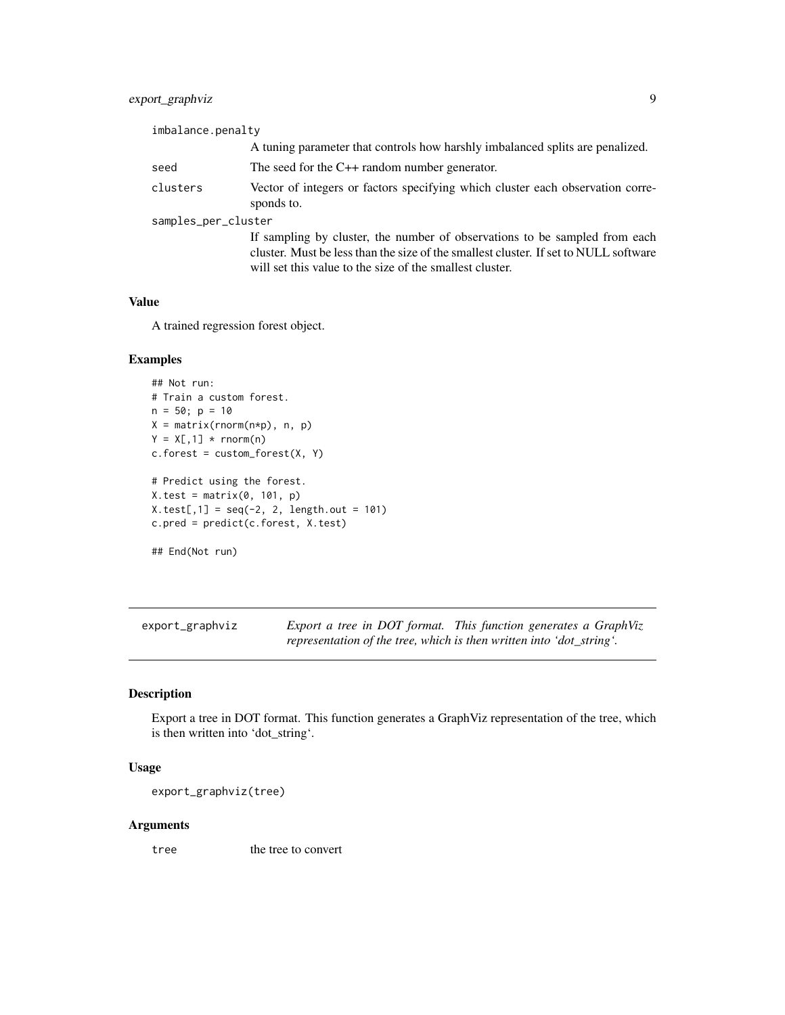# <span id="page-8-0"></span>export\_graphviz 9

| imbalance.penalty   |                                                                                                                                                                                                                                |  |
|---------------------|--------------------------------------------------------------------------------------------------------------------------------------------------------------------------------------------------------------------------------|--|
|                     | A tuning parameter that controls how harshly imbalanced splits are penalized.                                                                                                                                                  |  |
| seed                | The seed for the $C++$ random number generator.                                                                                                                                                                                |  |
| clusters            | Vector of integers or factors specifying which cluster each observation corre-<br>sponds to.                                                                                                                                   |  |
| samples_per_cluster |                                                                                                                                                                                                                                |  |
|                     | If sampling by cluster, the number of observations to be sampled from each<br>cluster. Must be less than the size of the smallest cluster. If set to NULL software<br>will set this value to the size of the smallest cluster. |  |

# Value

A trained regression forest object.

#### Examples

```
## Not run:
# Train a custom forest.
n = 50; p = 10X = matrix(rnorm(n*p), n, p)Y = X[, 1] * <b>rnorm(n)</b>c.forest = custom_forest(X, Y)# Predict using the forest.
X.test = matrix(0, 101, p)X.test[, 1] = seq(-2, 2, length.out = 101)c.pred = predict(c.forest, X.test)
## End(Not run)
```
export\_graphviz *Export a tree in DOT format. This function generates a GraphViz representation of the tree, which is then written into 'dot\_string'.*

# Description

Export a tree in DOT format. This function generates a GraphViz representation of the tree, which is then written into 'dot\_string'.

# Usage

```
export_graphviz(tree)
```
# Arguments

tree the tree to convert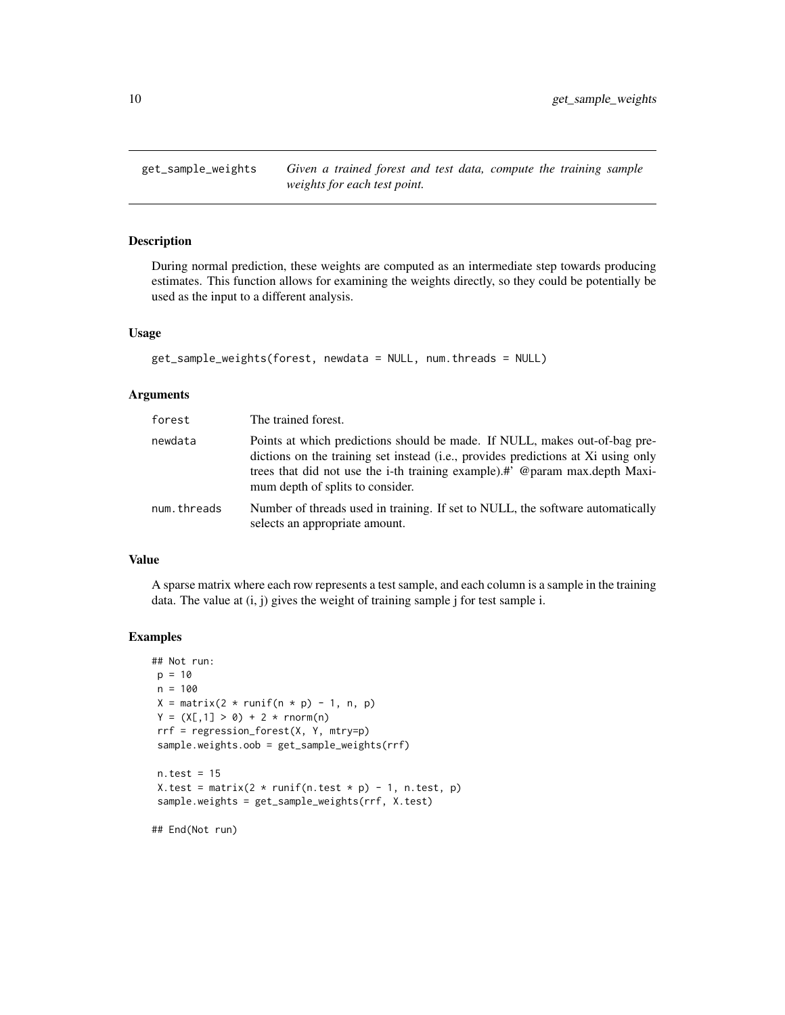<span id="page-9-0"></span>get\_sample\_weights *Given a trained forest and test data, compute the training sample weights for each test point.*

# Description

During normal prediction, these weights are computed as an intermediate step towards producing estimates. This function allows for examining the weights directly, so they could be potentially be used as the input to a different analysis.

# Usage

```
get_sample_weights(forest, newdata = NULL, num.threads = NULL)
```
# Arguments

| forest      | The trained forest.                                                                                                                                                                                                                                                                |
|-------------|------------------------------------------------------------------------------------------------------------------------------------------------------------------------------------------------------------------------------------------------------------------------------------|
| newdata     | Points at which predictions should be made. If NULL, makes out-of-bag pre-<br>dictions on the training set instead (i.e., provides predictions at Xi using only<br>trees that did not use the i-th training example).#' @param max.depth Maxi-<br>mum depth of splits to consider. |
| num.threads | Number of threads used in training. If set to NULL, the software automatically<br>selects an appropriate amount.                                                                                                                                                                   |

#### Value

A sparse matrix where each row represents a test sample, and each column is a sample in the training data. The value at  $(i, j)$  gives the weight of training sample j for test sample i.

#### Examples

```
## Not run:
p = 10n = 100
X = matrix(2 * runif(n * p) - 1, n, p)Y = (X[, 1] > 0) + 2 * rnorm(n)rrf = regression_forest(X, Y, mtry=p)
sample.weights.oob = get_sample_weights(rrf)
n.test = 15
X.test = matrix(2 * runif(n.test * p) - 1, n.test, p)
sample.weights = get_sample_weights(rrf, X.test)
```
## End(Not run)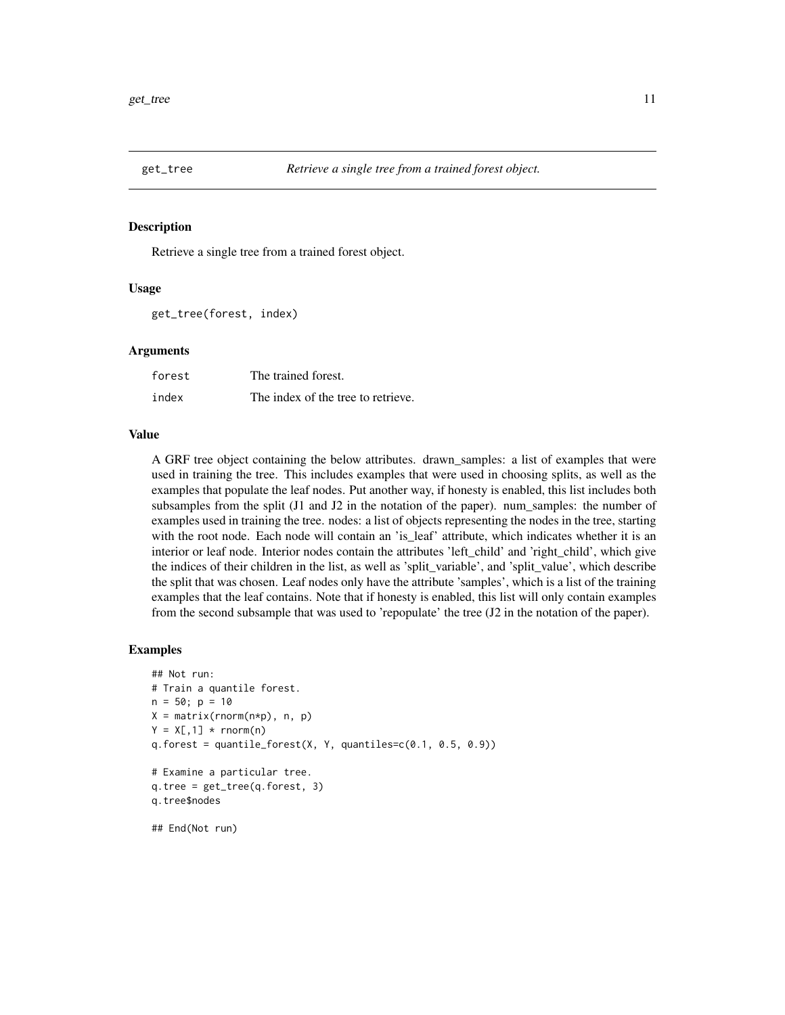<span id="page-10-0"></span>

#### Description

Retrieve a single tree from a trained forest object.

#### Usage

```
get_tree(forest, index)
```
#### Arguments

| forest | The trained forest.                |
|--------|------------------------------------|
| index  | The index of the tree to retrieve. |

#### Value

A GRF tree object containing the below attributes. drawn\_samples: a list of examples that were used in training the tree. This includes examples that were used in choosing splits, as well as the examples that populate the leaf nodes. Put another way, if honesty is enabled, this list includes both subsamples from the split (J1 and J2 in the notation of the paper). num\_samples: the number of examples used in training the tree. nodes: a list of objects representing the nodes in the tree, starting with the root node. Each node will contain an 'is\_leaf' attribute, which indicates whether it is an interior or leaf node. Interior nodes contain the attributes 'left child' and 'right child', which give the indices of their children in the list, as well as 'split\_variable', and 'split\_value', which describe the split that was chosen. Leaf nodes only have the attribute 'samples', which is a list of the training examples that the leaf contains. Note that if honesty is enabled, this list will only contain examples from the second subsample that was used to 'repopulate' the tree (J2 in the notation of the paper).

#### Examples

```
## Not run:
# Train a quantile forest.
n = 50; p = 10X = matrix(rnorm(n*p), n, p)Y = X[, 1] * <b>rnorm(n)</b>q.forest = quantile_forest(X, Y, quantiles=c(0.1, 0.5, 0.9))
# Examine a particular tree.
q.tree = get_tree(q.forest, 3)
q.tree$nodes
```
## End(Not run)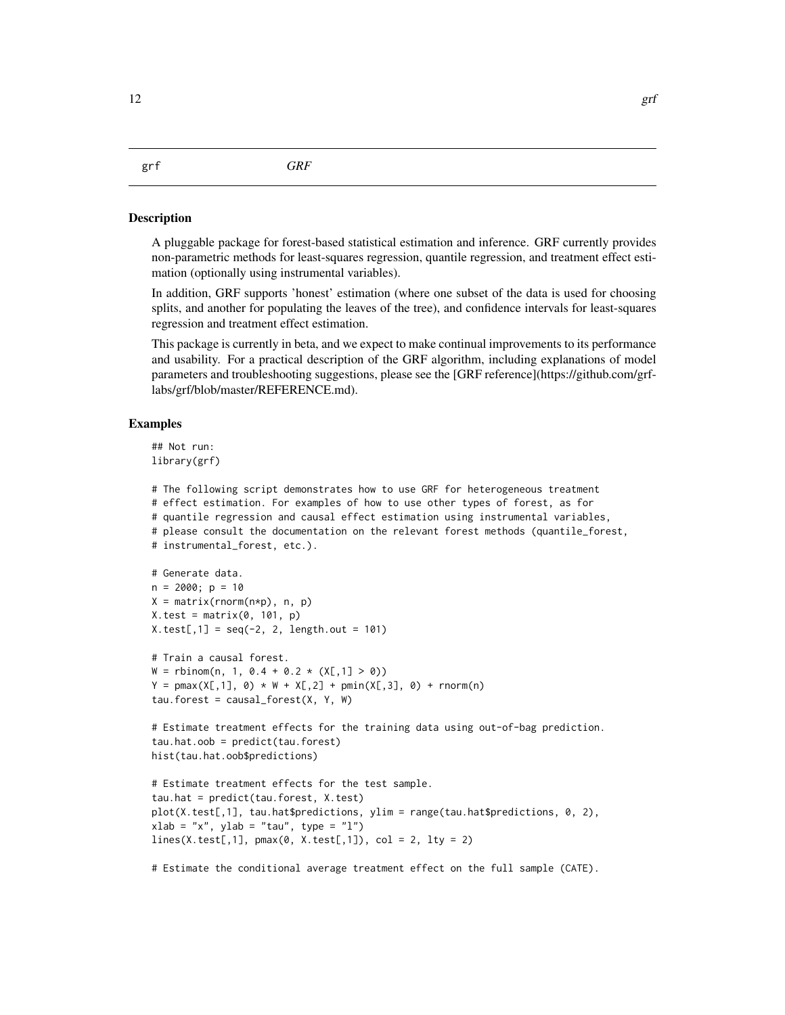<span id="page-11-0"></span>grf *GRF*

#### Description

A pluggable package for forest-based statistical estimation and inference. GRF currently provides non-parametric methods for least-squares regression, quantile regression, and treatment effect estimation (optionally using instrumental variables).

In addition, GRF supports 'honest' estimation (where one subset of the data is used for choosing splits, and another for populating the leaves of the tree), and confidence intervals for least-squares regression and treatment effect estimation.

This package is currently in beta, and we expect to make continual improvements to its performance and usability. For a practical description of the GRF algorithm, including explanations of model parameters and troubleshooting suggestions, please see the [GRF reference](https://github.com/grflabs/grf/blob/master/REFERENCE.md).

#### Examples

## Not run: library(grf)

```
# The following script demonstrates how to use GRF for heterogeneous treatment
# effect estimation. For examples of how to use other types of forest, as for
# quantile regression and causal effect estimation using instrumental variables,
# please consult the documentation on the relevant forest methods (quantile_forest,
# instrumental_forest, etc.).
# Generate data.
n = 2000; p = 10X = matrix(rnorm(n*p), n, p)X.test = matrix(0, 101, p)X.test[, 1] = seq(-2, 2, length.out = 101)# Train a causal forest.
W = rbinom(n, 1, 0.4 + 0.2 * (X[,1] > 0))
Y = pmax(X[, 1], 0) * W + X[, 2] + pmin(X[, 3], 0) + rnorm(n)tau. forest = causal_forest(X, Y, W)
# Estimate treatment effects for the training data using out-of-bag prediction.
tau.hat.oob = predict(tau.forest)
hist(tau.hat.oob$predictions)
# Estimate treatment effects for the test sample.
tau.hat = predict(tau.forest, X.test)
plot(X.test[,1], tau.hat$predictions, ylim = range(tau.hat$predictions, 0, 2),
xlab = "x", ylab = "tau", type = "l")lines(X.test[,1], pmax(\emptyset, X.test[, 1]), col = 2, lty = 2)
```
# Estimate the conditional average treatment effect on the full sample (CATE).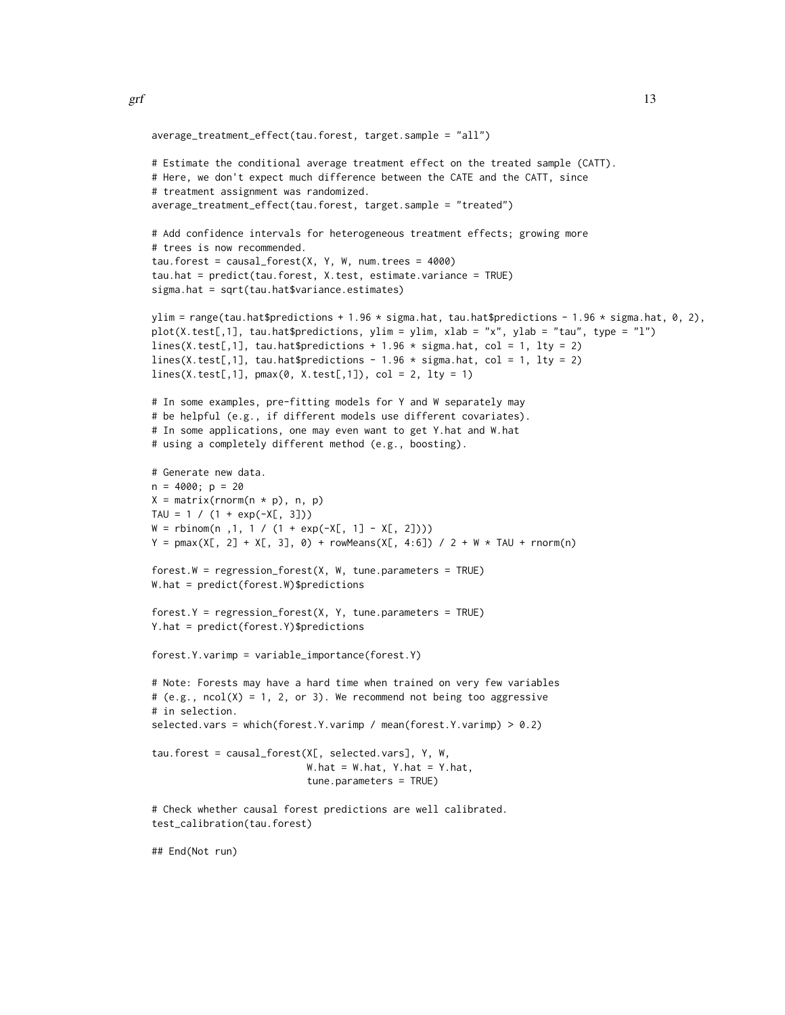```
average_treatment_effect(tau.forest, target.sample = "all")
# Estimate the conditional average treatment effect on the treated sample (CATT).
# Here, we don't expect much difference between the CATE and the CATT, since
# treatment assignment was randomized.
average_treatment_effect(tau.forest, target.sample = "treated")
# Add confidence intervals for heterogeneous treatment effects; growing more
# trees is now recommended.
tau.forest = causal_forest(X, Y, W, num.trees = 4000)
tau.hat = predict(tau.forest, X.test, estimate.variance = TRUE)
sigma.hat = sqrt(tau.hat$variance.estimates)
ylim = range(tau.hat$predictions + 1.96 * sigma.hat, tau.hat$predictions - 1.96 * sigma.hat, 0, 2),
plot(X.test[,1], tau.hat$predictions, ylim = ylim, xlab = "x", ylab = "tau", type = "l")
lines(X.test[,1], tau.hat$predictions + 1.96 * sigma.hat, col = 1, lty = 2)
lines(X.test[,1], tau.hat$predictions - 1.96 * sigma.hat, col = 1, lty = 2)
lines(X.test[, 1], pmax(0, X.test[, 1]), col = 2, lty = 1)# In some examples, pre-fitting models for Y and W separately may
# be helpful (e.g., if different models use different covariates).
# In some applications, one may even want to get Y.hat and W.hat
# using a completely different method (e.g., boosting).
# Generate new data.
n = 4000; p = 20X = matrix(rnorm(n * p), n, p)TAU = 1 / (1 + exp(-X[, 3]))W = rbinom(n ,1, 1 / (1 + exp(-X[, 1] - X[, 2])))
Y = pmax(X[, 2] + X[, 3], 0) + rowMeans(X[, 4:6]) / 2 + W * TAU + rnorm(n)forest.W = regression_fonest(X, W, tune.parameters = TRUE)W.hat = predict(forest.W)$predictions
forest.Y = regression_fforest(X, Y, tune.parameters = TRUE)Y.hat = predict(forest.Y)$predictions
forest.Y.varimp = variable_importance(forest.Y)
# Note: Forests may have a hard time when trained on very few variables
# (e.g., ncol(X) = 1, 2, or 3). We recommend not being too aggressive
# in selection.
selected.vars = which(forest.Y.varimp / mean(forest.Y.varimp) > 0.2)
tau.forest = causal_forest(X[, selected.vars], Y, W,
                           W.hat = W.hat, Y.hat = Y.hat,
                           tune.parameters = TRUE)
# Check whether causal forest predictions are well calibrated.
test_calibration(tau.forest)
```
## End(Not run)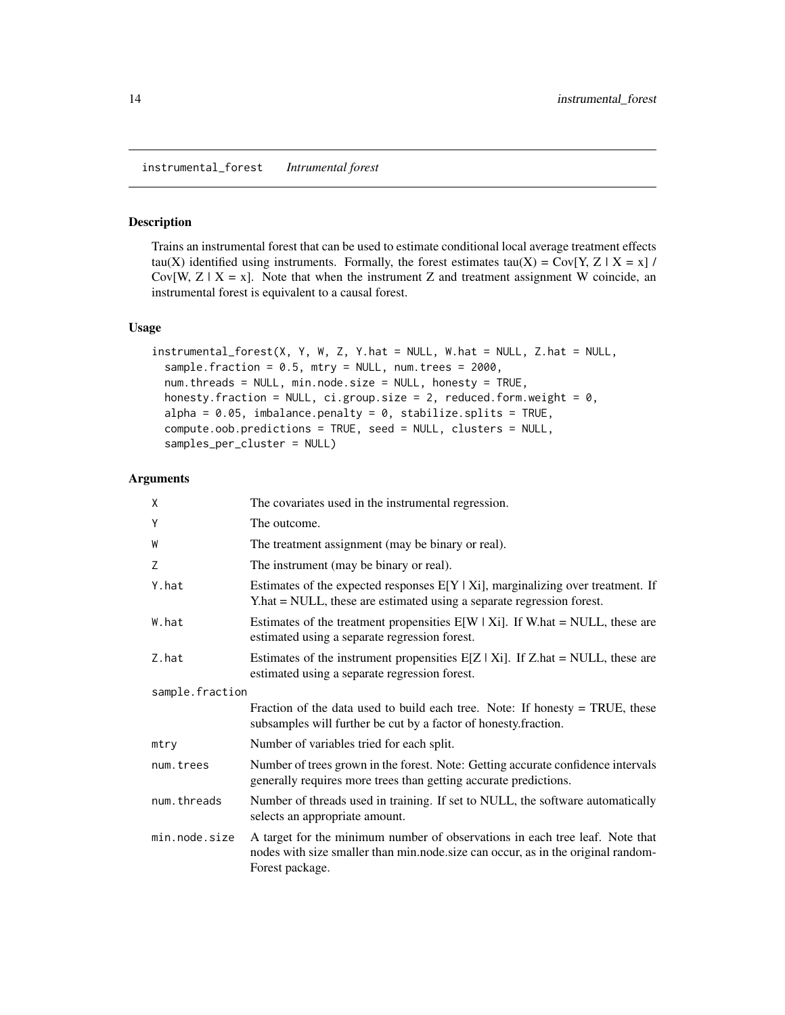<span id="page-13-0"></span>instrumental\_forest *Intrumental forest*

#### Description

Trains an instrumental forest that can be used to estimate conditional local average treatment effects tau(X) identified using instruments. Formally, the forest estimates tau(X) = Cov[Y, Z | X = x] / Cov[W,  $Z \mid X = x$ ]. Note that when the instrument Z and treatment assignment W coincide, an instrumental forest is equivalent to a causal forest.

#### Usage

```
instrumental_forest(X, Y, W, Z, Y.hat = NULL, W.hat = NULL, Z.hat = NULL,
  sample.fraction = 0.5, mtry = NULL, num.trees = 2000,
  num.threads = NULL, min.node.size = NULL, honesty = TRUE,
 honesty.fraction = NULL, ci.group.size = 2, reduced.form.weight = 0,
  alpha = 0.05, imbalance.penalty = 0, stabilize.splits = TRUE,
  compute.oob.predictions = TRUE, seed = NULL, clusters = NULL,
  samples_per_cluster = NULL)
```

| Χ               | The covariates used in the instrumental regression.                                                                                                                                 |
|-----------------|-------------------------------------------------------------------------------------------------------------------------------------------------------------------------------------|
| Υ               | The outcome.                                                                                                                                                                        |
| W               | The treatment assignment (may be binary or real).                                                                                                                                   |
| Z               | The instrument (may be binary or real).                                                                                                                                             |
| Y.hat           | Estimates of the expected responses $E[Y   X_i]$ , marginalizing over treatment. If<br>Y.hat = NULL, these are estimated using a separate regression forest.                        |
| W.hat           | Estimates of the treatment propensities $E[W   Xi]$ . If W.hat = NULL, these are<br>estimated using a separate regression forest.                                                   |
| Z.hat           | Estimates of the instrument propensities $E[Z   X_i]$ . If Z.hat = NULL, these are<br>estimated using a separate regression forest.                                                 |
| sample.fraction |                                                                                                                                                                                     |
|                 | Fraction of the data used to build each tree. Note: If honesty $=$ TRUE, these<br>subsamples will further be cut by a factor of honesty.fraction.                                   |
| mtry            | Number of variables tried for each split.                                                                                                                                           |
| num.trees       | Number of trees grown in the forest. Note: Getting accurate confidence intervals<br>generally requires more trees than getting accurate predictions.                                |
| num.threads     | Number of threads used in training. If set to NULL, the software automatically<br>selects an appropriate amount.                                                                    |
| min.node.size   | A target for the minimum number of observations in each tree leaf. Note that<br>nodes with size smaller than min.node.size can occur, as in the original random-<br>Forest package. |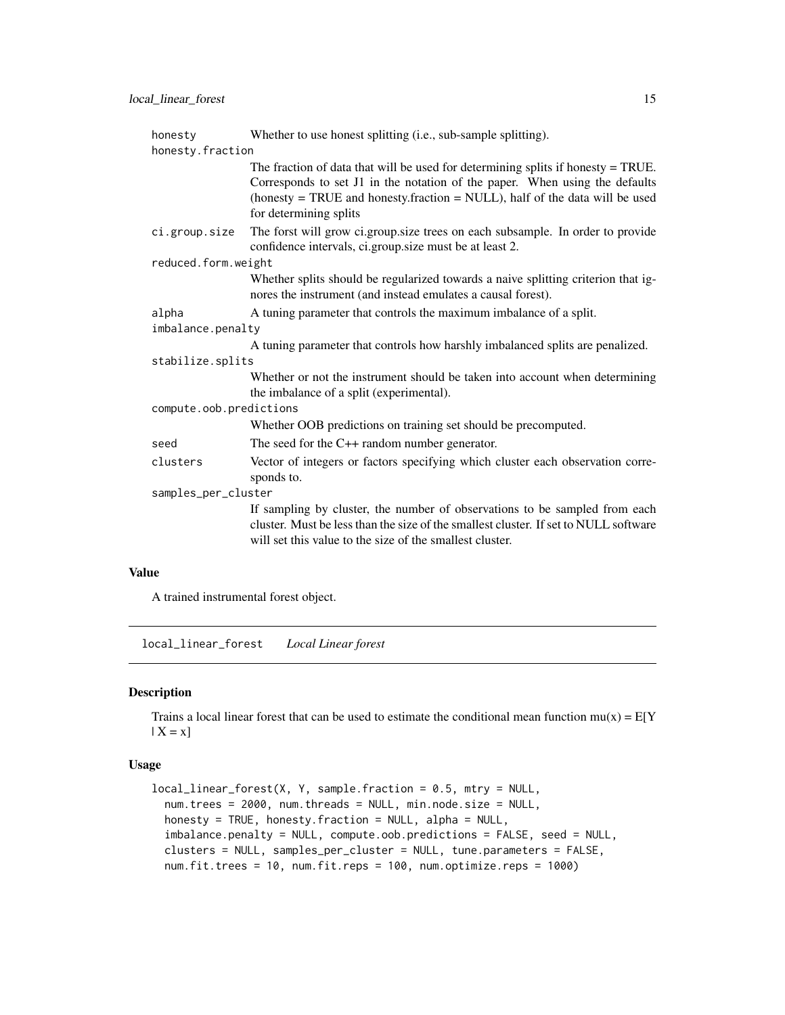<span id="page-14-0"></span>

| honesty                 | Whether to use honest splitting (i.e., sub-sample splitting).                                                                                                                                                                                                              |  |
|-------------------------|----------------------------------------------------------------------------------------------------------------------------------------------------------------------------------------------------------------------------------------------------------------------------|--|
| honesty.fraction        |                                                                                                                                                                                                                                                                            |  |
|                         | The fraction of data that will be used for determining splits if honesty $=$ TRUE.<br>Corresponds to set J1 in the notation of the paper. When using the defaults<br>(honesty = TRUE and honesty.fraction = NULL), half of the data will be used<br>for determining splits |  |
| ci.group.size           | The forst will grow ci.group.size trees on each subsample. In order to provide<br>confidence intervals, ci.group.size must be at least 2.                                                                                                                                  |  |
| reduced.form.weight     |                                                                                                                                                                                                                                                                            |  |
|                         | Whether splits should be regularized towards a naive splitting criterion that ig-<br>nores the instrument (and instead emulates a causal forest).                                                                                                                          |  |
| alpha                   | A tuning parameter that controls the maximum imbalance of a split.                                                                                                                                                                                                         |  |
| imbalance.penalty       |                                                                                                                                                                                                                                                                            |  |
|                         | A tuning parameter that controls how harshly imbalanced splits are penalized.                                                                                                                                                                                              |  |
| stabilize.splits        |                                                                                                                                                                                                                                                                            |  |
|                         | Whether or not the instrument should be taken into account when determining<br>the imbalance of a split (experimental).                                                                                                                                                    |  |
| compute.oob.predictions |                                                                                                                                                                                                                                                                            |  |
|                         | Whether OOB predictions on training set should be precomputed.                                                                                                                                                                                                             |  |
| seed                    | The seed for the $C++$ random number generator.                                                                                                                                                                                                                            |  |
| clusters                | Vector of integers or factors specifying which cluster each observation corre-<br>sponds to.                                                                                                                                                                               |  |
| samples_per_cluster     |                                                                                                                                                                                                                                                                            |  |
|                         | If sampling by cluster, the number of observations to be sampled from each<br>cluster. Must be less than the size of the smallest cluster. If set to NULL software<br>will set this value to the size of the smallest cluster.                                             |  |

# Value

A trained instrumental forest object.

local\_linear\_forest *Local Linear forest*

# Description

Trains a local linear forest that can be used to estimate the conditional mean function  $mu(x) = E[Y]$  $| X = x]$ 

### Usage

```
local_linear_forest(X, Y, sample.fraction = 0.5, mtry = NULL,
  num.trees = 2000, num.threads = NULL, min.node.size = NULL,
 honesty = TRUE, honesty.fraction = NULL, alpha = NULL,
  imbalance.penalty = NULL, compute.oob.predictions = FALSE, seed = NULL,
  clusters = NULL, samples_per_cluster = NULL, tune.parameters = FALSE,
  num.fit.trees = 10, num.fit.reps = 100, num.optimize.reps = 1000)
```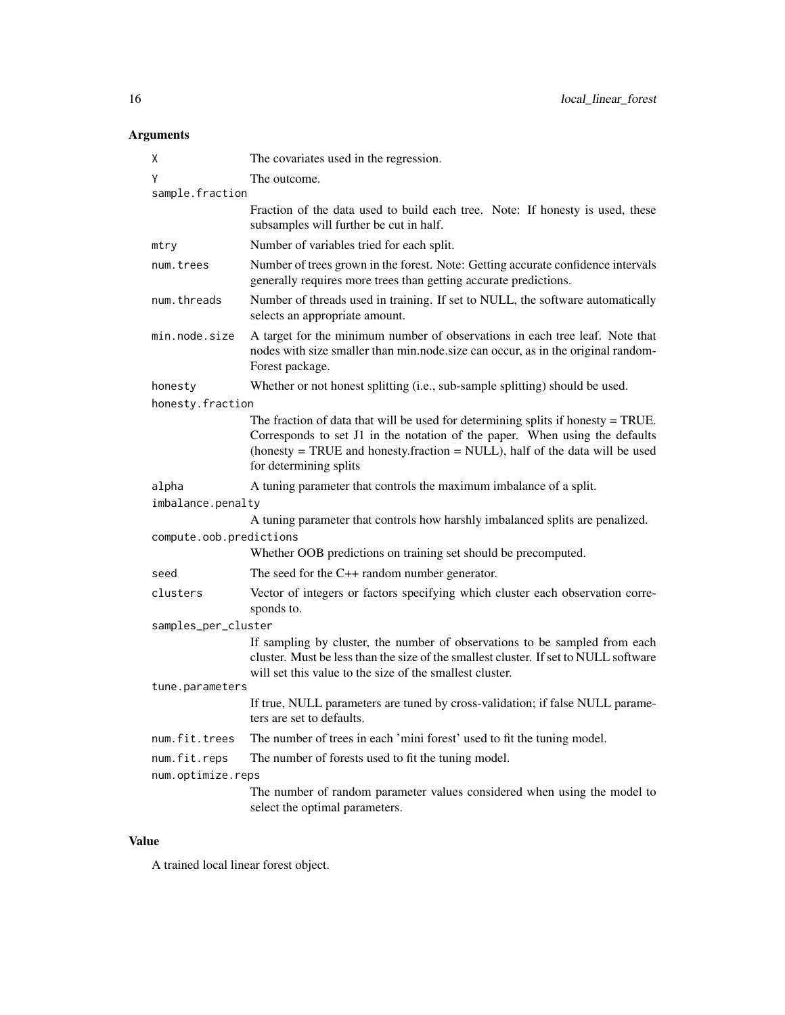# Arguments

| х                       | The covariates used in the regression.                                                                                                                                                                                                                                          |  |
|-------------------------|---------------------------------------------------------------------------------------------------------------------------------------------------------------------------------------------------------------------------------------------------------------------------------|--|
| Υ                       | The outcome.                                                                                                                                                                                                                                                                    |  |
| sample.fraction         |                                                                                                                                                                                                                                                                                 |  |
|                         | Fraction of the data used to build each tree. Note: If honesty is used, these<br>subsamples will further be cut in half.                                                                                                                                                        |  |
| mtry                    | Number of variables tried for each split.                                                                                                                                                                                                                                       |  |
| num.trees               | Number of trees grown in the forest. Note: Getting accurate confidence intervals<br>generally requires more trees than getting accurate predictions.                                                                                                                            |  |
| num.threads             | Number of threads used in training. If set to NULL, the software automatically<br>selects an appropriate amount.                                                                                                                                                                |  |
| min.node.size           | A target for the minimum number of observations in each tree leaf. Note that<br>nodes with size smaller than min.node.size can occur, as in the original random-<br>Forest package.                                                                                             |  |
| honesty                 | Whether or not honest splitting (i.e., sub-sample splitting) should be used.                                                                                                                                                                                                    |  |
| honesty.fraction        |                                                                                                                                                                                                                                                                                 |  |
|                         | The fraction of data that will be used for determining splits if honesty $=$ TRUE.<br>Corresponds to set J1 in the notation of the paper. When using the defaults<br>(honesty $=$ TRUE and honesty. fraction $=$ NULL), half of the data will be used<br>for determining splits |  |
| alpha                   | A tuning parameter that controls the maximum imbalance of a split.                                                                                                                                                                                                              |  |
| imbalance.penalty       |                                                                                                                                                                                                                                                                                 |  |
|                         | A tuning parameter that controls how harshly imbalanced splits are penalized.                                                                                                                                                                                                   |  |
| compute.oob.predictions | Whether OOB predictions on training set should be precomputed.                                                                                                                                                                                                                  |  |
|                         |                                                                                                                                                                                                                                                                                 |  |
| seed                    | The seed for the $C++$ random number generator.                                                                                                                                                                                                                                 |  |
| clusters                | Vector of integers or factors specifying which cluster each observation corre-<br>sponds to.                                                                                                                                                                                    |  |
| samples_per_cluster     |                                                                                                                                                                                                                                                                                 |  |
|                         | If sampling by cluster, the number of observations to be sampled from each<br>cluster. Must be less than the size of the smallest cluster. If set to NULL software<br>will set this value to the size of the smallest cluster.                                                  |  |
| tune.parameters         |                                                                                                                                                                                                                                                                                 |  |
|                         | If true, NULL parameters are tuned by cross-validation; if false NULL parame-<br>ters are set to defaults.                                                                                                                                                                      |  |
| num.fit.trees           | The number of trees in each 'mini forest' used to fit the tuning model.                                                                                                                                                                                                         |  |
| num.fit.reps            | The number of forests used to fit the tuning model.                                                                                                                                                                                                                             |  |
| num.optimize.reps       |                                                                                                                                                                                                                                                                                 |  |
|                         | The number of random parameter values considered when using the model to<br>select the optimal parameters.                                                                                                                                                                      |  |

# Value

A trained local linear forest object.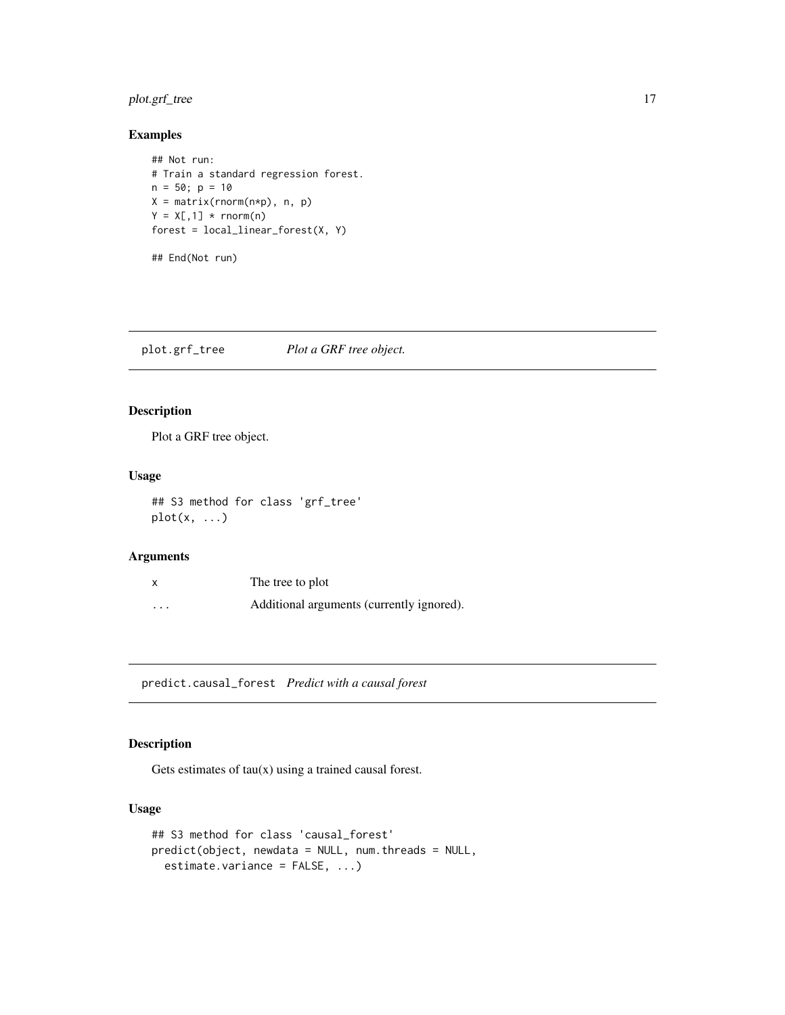# <span id="page-16-0"></span>plot.grf\_tree 17

# Examples

```
## Not run:
# Train a standard regression forest.
n = 50; p = 10X = matrix(rnorm(n*p), n, p)Y = X[, 1] * <b>rnorm(n)</b>forest = local_{linear\_forest(X, Y)}
```
## End(Not run)

plot.grf\_tree *Plot a GRF tree object.*

# Description

Plot a GRF tree object.

# Usage

## S3 method for class 'grf\_tree'  $plot(x, \ldots)$ 

# Arguments

| X        | The tree to plot                          |
|----------|-------------------------------------------|
| $\cdots$ | Additional arguments (currently ignored). |

predict.causal\_forest *Predict with a causal forest*

# Description

Gets estimates of  $tau(x)$  using a trained causal forest.

#### Usage

```
## S3 method for class 'causal_forest'
predict(object, newdata = NULL, num.threads = NULL,
 estimate.variance = FALSE, ...)
```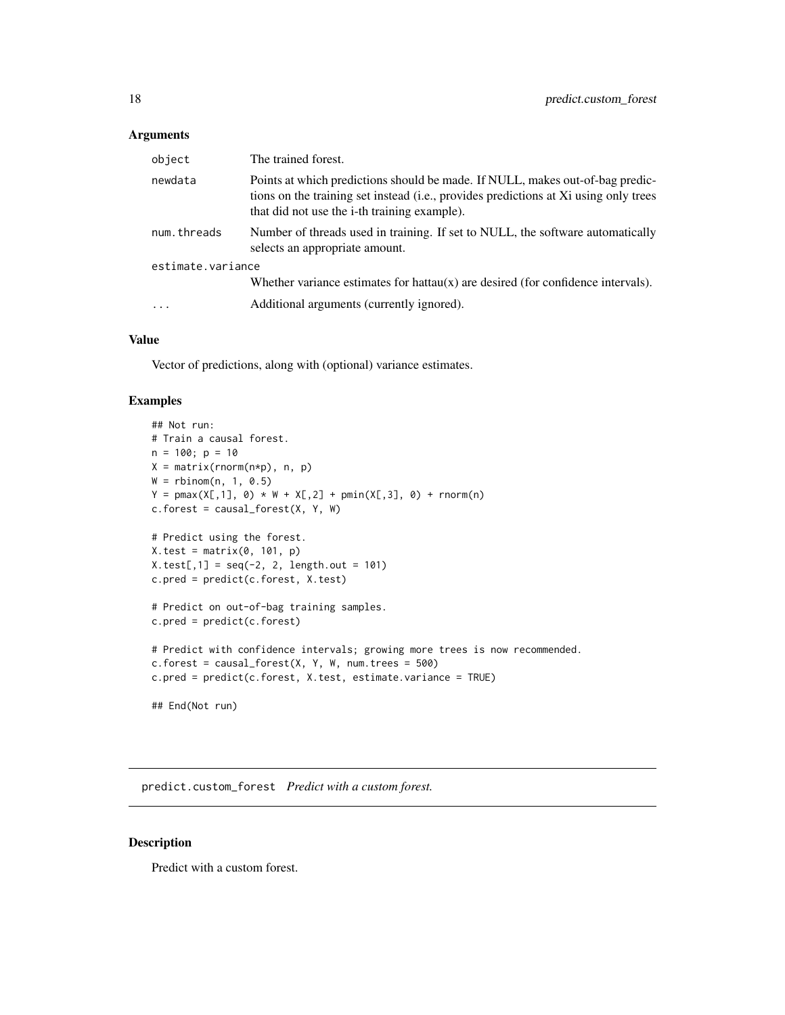# <span id="page-17-0"></span>Arguments

| object            | The trained forest.                                                                                                                                                                                                           |  |
|-------------------|-------------------------------------------------------------------------------------------------------------------------------------------------------------------------------------------------------------------------------|--|
| newdata           | Points at which predictions should be made. If NULL, makes out-of-bag predic-<br>tions on the training set instead (i.e., provides predictions at Xi using only trees<br>that did not use the <i>i</i> -th training example). |  |
| num.threads       | Number of threads used in training. If set to NULL, the software automatically<br>selects an appropriate amount.                                                                                                              |  |
| estimate.variance |                                                                                                                                                                                                                               |  |
|                   | Whether variance estimates for hattau $(x)$ are desired (for confidence intervals).                                                                                                                                           |  |
| $\cdot\cdot\cdot$ | Additional arguments (currently ignored).                                                                                                                                                                                     |  |

# Value

Vector of predictions, along with (optional) variance estimates.

# Examples

```
## Not run:
# Train a causal forest.
n = 100; p = 10X = matrix(rnorm(n*p), n, p)W = rbinom(n, 1, 0.5)Y = pmax(X[, 1], 0) * W + X[, 2] + pmin(X[, 3], 0) + rnorm(n)c.forest = causal_forest(X, Y, W)# Predict using the forest.
X.test = matrix(0, 101, p)X.test[, 1] = seq(-2, 2, length.out = 101)c.pred = predict(c.forest, X.test)
# Predict on out-of-bag training samples.
c.pred = predict(c.forest)
# Predict with confidence intervals; growing more trees is now recommended.
c.forest = causal_forest(X, Y, W, num.trees = 500)c.pred = predict(c.forest, X.test, estimate.variance = TRUE)
## End(Not run)
```
predict.custom\_forest *Predict with a custom forest.*

#### Description

Predict with a custom forest.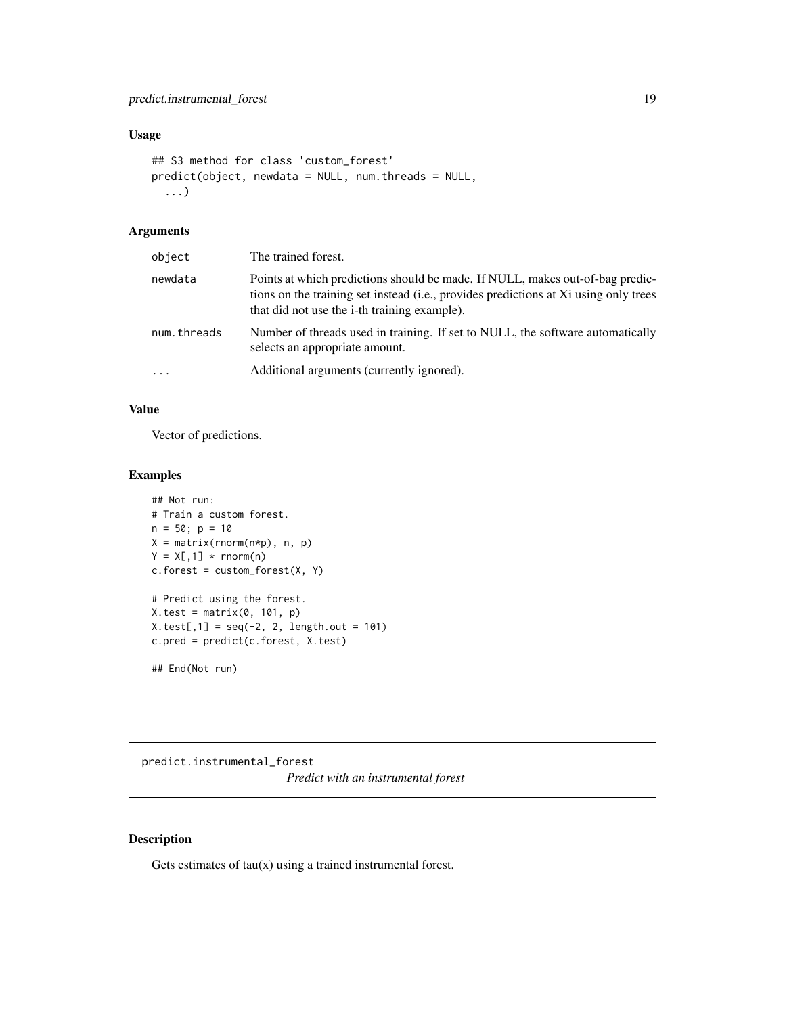# <span id="page-18-0"></span>Usage

```
## S3 method for class 'custom_forest'
predict(object, newdata = NULL, num.threads = NULL,
  ...)
```
# Arguments

| object      | The trained forest.                                                                                                                                                                                                           |
|-------------|-------------------------------------------------------------------------------------------------------------------------------------------------------------------------------------------------------------------------------|
| newdata     | Points at which predictions should be made. If NULL, makes out-of-bag predic-<br>tions on the training set instead (i.e., provides predictions at Xi using only trees<br>that did not use the <i>i</i> -th training example). |
| num.threads | Number of threads used in training. If set to NULL, the software automatically<br>selects an appropriate amount.                                                                                                              |
| .           | Additional arguments (currently ignored).                                                                                                                                                                                     |

# Value

Vector of predictions.

# Examples

```
## Not run:
# Train a custom forest.
n = 50; p = 10X = matrix(rnorm(n*p), n, p)
Y = X[, 1] * rnorm(n)c.forest = custom_forest(X, Y)# Predict using the forest.
X.test = matrix(0, 101, p)X.test[, 1] = seq(-2, 2, length.out = 101)c.pred = predict(c.forest, X.test)
```
## End(Not run)

predict.instrumental\_forest *Predict with an instrumental forest*

# Description

Gets estimates of  $tau(x)$  using a trained instrumental forest.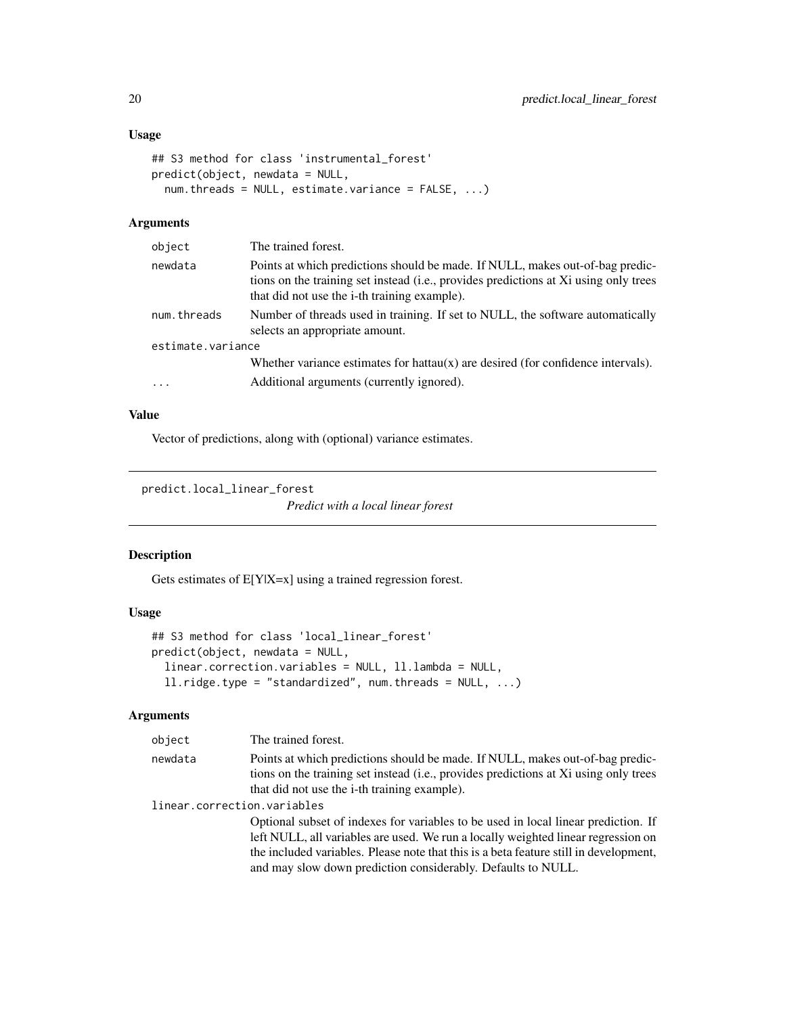# <span id="page-19-0"></span>Usage

```
## S3 method for class 'instrumental_forest'
predict(object, newdata = NULL,
 num.threads = NULL, estimate.variance = FALSE, ...)
```
#### Arguments

| object            | The trained forest.                                                                                                                                                                                                           |
|-------------------|-------------------------------------------------------------------------------------------------------------------------------------------------------------------------------------------------------------------------------|
| newdata           | Points at which predictions should be made. If NULL, makes out-of-bag predic-<br>tions on the training set instead (i.e., provides predictions at Xi using only trees<br>that did not use the <i>i</i> -th training example). |
| num.threads       | Number of threads used in training. If set to NULL, the software automatically<br>selects an appropriate amount.                                                                                                              |
| estimate.variance |                                                                                                                                                                                                                               |
| $\cdot$           | Whether variance estimates for hattau $(x)$ are desired (for confidence intervals).<br>Additional arguments (currently ignored).                                                                                              |
|                   |                                                                                                                                                                                                                               |

# Value

Vector of predictions, along with (optional) variance estimates.

predict.local\_linear\_forest

*Predict with a local linear forest*

# Description

Gets estimates of E[Y|X=x] using a trained regression forest.

# Usage

```
## S3 method for class 'local_linear_forest'
predict(object, newdata = NULL,
  linear.correction.variables = NULL, ll.lambda = NULL,
  ll.ridge.type = "standardized", num.threads = NULL, ...)
```

| object                      | The trained forest.                                                                                                                                                                                                                                                                                                              |
|-----------------------------|----------------------------------------------------------------------------------------------------------------------------------------------------------------------------------------------------------------------------------------------------------------------------------------------------------------------------------|
| newdata                     | Points at which predictions should be made. If NULL, makes out-of-bag predic-<br>tions on the training set instead (i.e., provides predictions at Xi using only trees                                                                                                                                                            |
| linear.correction.variables | that did not use the <i>i</i> -th training example).                                                                                                                                                                                                                                                                             |
|                             | Optional subset of indexes for variables to be used in local linear prediction. If<br>left NULL, all variables are used. We run a locally weighted linear regression on<br>the included variables. Please note that this is a beta feature still in development,<br>and may slow down prediction considerably. Defaults to NULL. |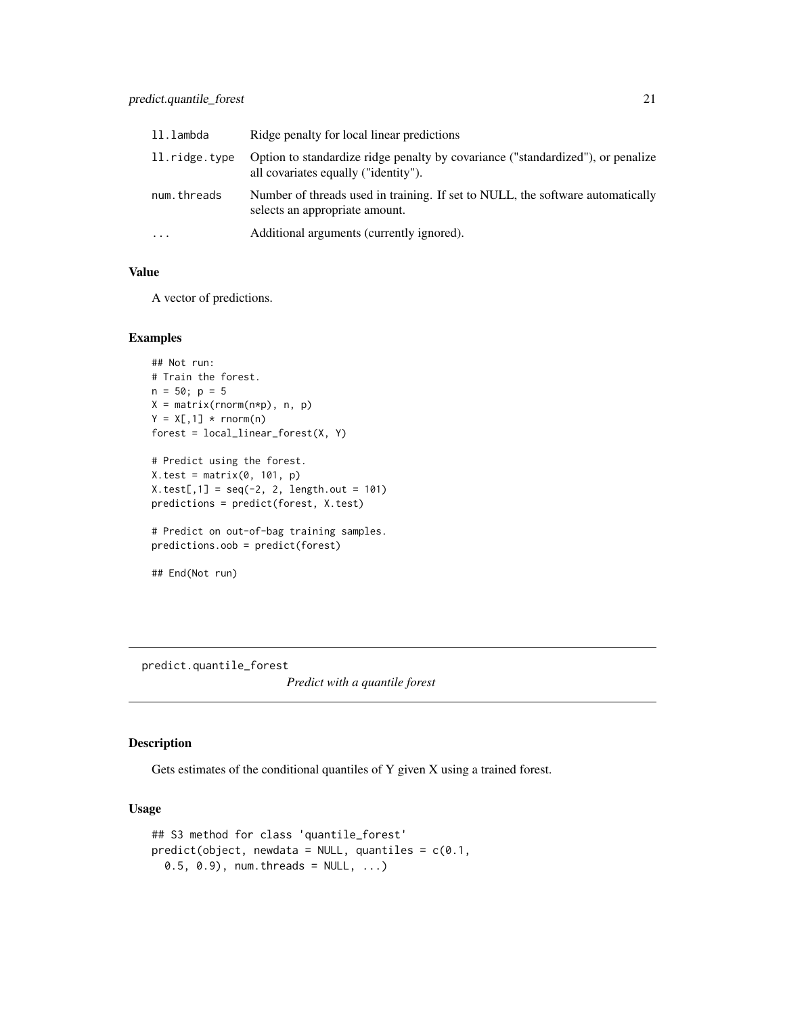# <span id="page-20-0"></span>predict.quantile\_forest 21

| ll.lambda     | Ridge penalty for local linear predictions                                                                              |
|---------------|-------------------------------------------------------------------------------------------------------------------------|
| 11.ridge.type | Option to standardize ridge penalty by covariance ("standardized"), or penalize<br>all covariates equally ("identity"). |
| num.threads   | Number of threads used in training. If set to NULL, the software automatically<br>selects an appropriate amount.        |
| $\ddotsc$     | Additional arguments (currently ignored).                                                                               |

#### Value

A vector of predictions.

#### Examples

```
## Not run:
# Train the forest.
n = 50; p = 5X = matrix(rnorm(n*p), n, p)Y = X[, 1] * <b>rnorm(n)</b>forest = local_{linear\_forest(X, Y)}# Predict using the forest.
X.test = matrix(0, 101, p)
```

```
X.test[, 1] = seq(-2, 2, length.out = 101)predictions = predict(forest, X.test)
```

```
# Predict on out-of-bag training samples.
predictions.oob = predict(forest)
```

```
## End(Not run)
```
predict.quantile\_forest

*Predict with a quantile forest*

# Description

Gets estimates of the conditional quantiles of Y given X using a trained forest.

#### Usage

```
## S3 method for class 'quantile_forest'
predict(object, newdata = NULL, quantiles = c(0.1,0.5, 0.9), num.threads = NULL, ...)
```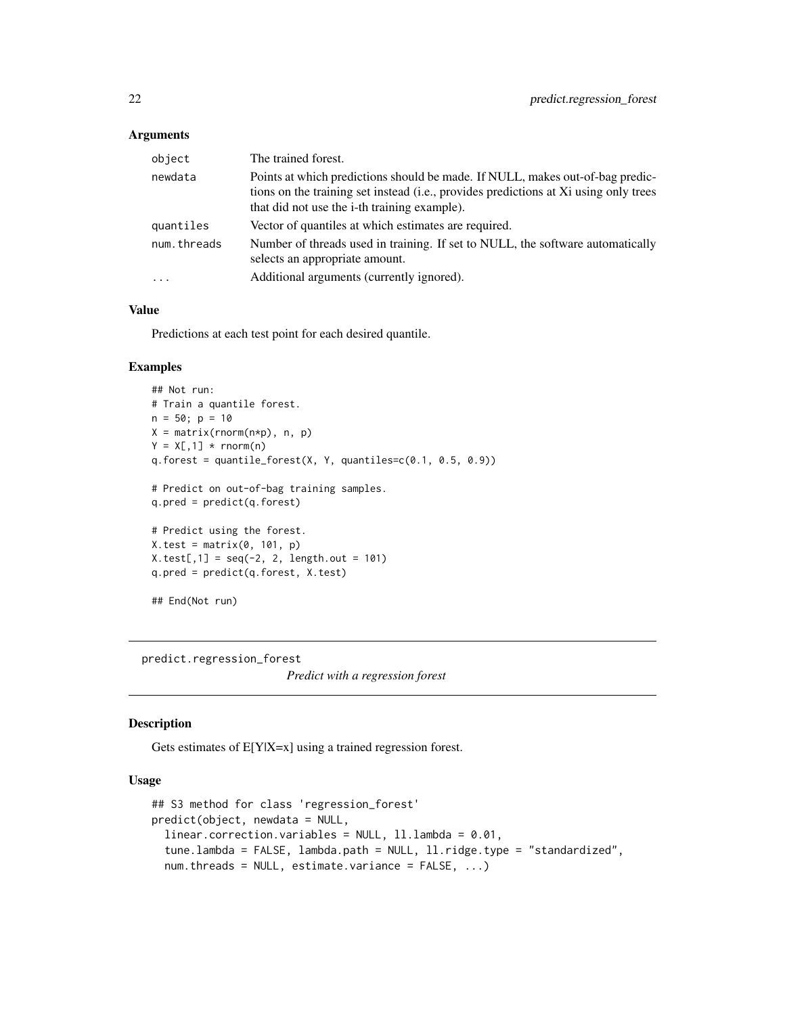#### <span id="page-21-0"></span>Arguments

| object      | The trained forest.                                                                                                                                                                                                   |
|-------------|-----------------------------------------------------------------------------------------------------------------------------------------------------------------------------------------------------------------------|
| newdata     | Points at which predictions should be made. If NULL, makes out-of-bag predic-<br>tions on the training set instead (i.e., provides predictions at Xi using only trees<br>that did not use the i-th training example). |
| quantiles   | Vector of quantiles at which estimates are required.                                                                                                                                                                  |
| num.threads | Number of threads used in training. If set to NULL, the software automatically<br>selects an appropriate amount.                                                                                                      |
| $\cdot$     | Additional arguments (currently ignored).                                                                                                                                                                             |

# Value

Predictions at each test point for each desired quantile.

# Examples

```
## Not run:
# Train a quantile forest.
n = 50; p = 10X = matrix(rnorm(n*p), n, p)Y = X[, 1] * <b>rnorm(n)</b>q.forest = quantile_forest(X, Y, quantiles=c(0.1, 0.5, 0.9))
# Predict on out-of-bag training samples.
q.pred = predict(q.forest)
# Predict using the forest.
X.test = matrix(0, 101, p)X.test[, 1] = seq(-2, 2, length.out = 101)q.pred = predict(q.forest, X.test)
## End(Not run)
```
predict.regression\_forest

*Predict with a regression forest*

#### Description

Gets estimates of E[Y|X=x] using a trained regression forest.

# Usage

```
## S3 method for class 'regression_forest'
predict(object, newdata = NULL,
  linear.correction.variables = NULL, ll.lambda = 0.01,
  tune.lambda = FALSE, lambda.path = NULL, ll.ridge.type = "standardized",
  num. threads = NULL, estimate.variance = FALSE, ...)
```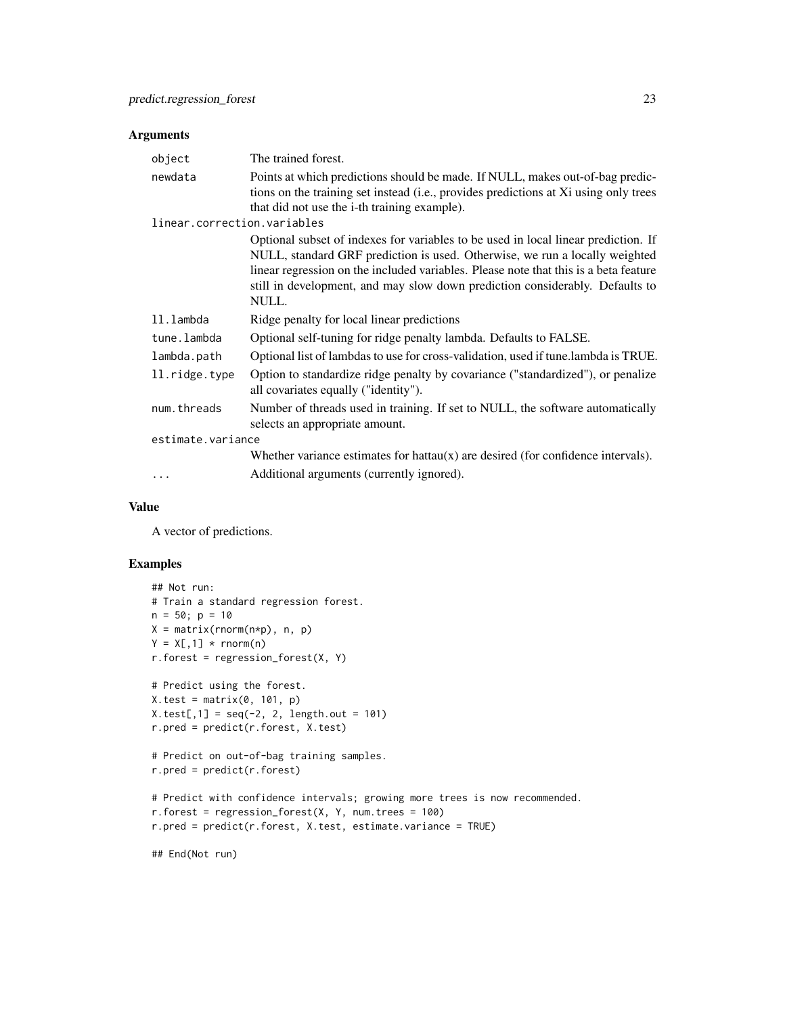#### Arguments

| object                      | The trained forest.                                                                                                                                                                                                                                                                                                                                |
|-----------------------------|----------------------------------------------------------------------------------------------------------------------------------------------------------------------------------------------------------------------------------------------------------------------------------------------------------------------------------------------------|
| newdata                     | Points at which predictions should be made. If NULL, makes out-of-bag predic-<br>tions on the training set instead (i.e., provides predictions at Xi using only trees<br>that did not use the i-th training example).                                                                                                                              |
| linear.correction.variables |                                                                                                                                                                                                                                                                                                                                                    |
|                             | Optional subset of indexes for variables to be used in local linear prediction. If<br>NULL, standard GRF prediction is used. Otherwise, we run a locally weighted<br>linear regression on the included variables. Please note that this is a beta feature<br>still in development, and may slow down prediction considerably. Defaults to<br>NULL. |
| 11.1ambda                   | Ridge penalty for local linear predictions                                                                                                                                                                                                                                                                                                         |
| tune.lambda                 | Optional self-tuning for ridge penalty lambda. Defaults to FALSE.                                                                                                                                                                                                                                                                                  |
| lambda.path                 | Optional list of lambdas to use for cross-validation, used if tune.lambda is TRUE.                                                                                                                                                                                                                                                                 |
| ll.ridge.type               | Option to standardize ridge penalty by covariance ("standardized"), or penalize<br>all covariates equally ("identity").                                                                                                                                                                                                                            |
| num.threads                 | Number of threads used in training. If set to NULL, the software automatically<br>selects an appropriate amount.                                                                                                                                                                                                                                   |
| estimate.variance           |                                                                                                                                                                                                                                                                                                                                                    |
|                             | Whether variance estimates for hattau $(x)$ are desired (for confidence intervals).                                                                                                                                                                                                                                                                |
| $\ddots$ .                  | Additional arguments (currently ignored).                                                                                                                                                                                                                                                                                                          |

# Value

A vector of predictions.

# Examples

```
## Not run:
# Train a standard regression forest.
n = 50; p = 10X = matrix(rnorm(n*p), n, p)Y = X[, 1] * <b>rnorm(n)</b>r.forest = regression_forest(X, Y)
# Predict using the forest.
X.test = matrix(0, 101, p)X.test[, 1] = seq(-2, 2, length.out = 101)r.pred = predict(r.forest, X.test)
# Predict on out-of-bag training samples.
r.pred = predict(r.forest)
# Predict with confidence intervals; growing more trees is now recommended.
r.forest = regression_forest(X, Y, num.trees = 100)
r.pred = predict(r.forest, X.test, estimate.variance = TRUE)
## End(Not run)
```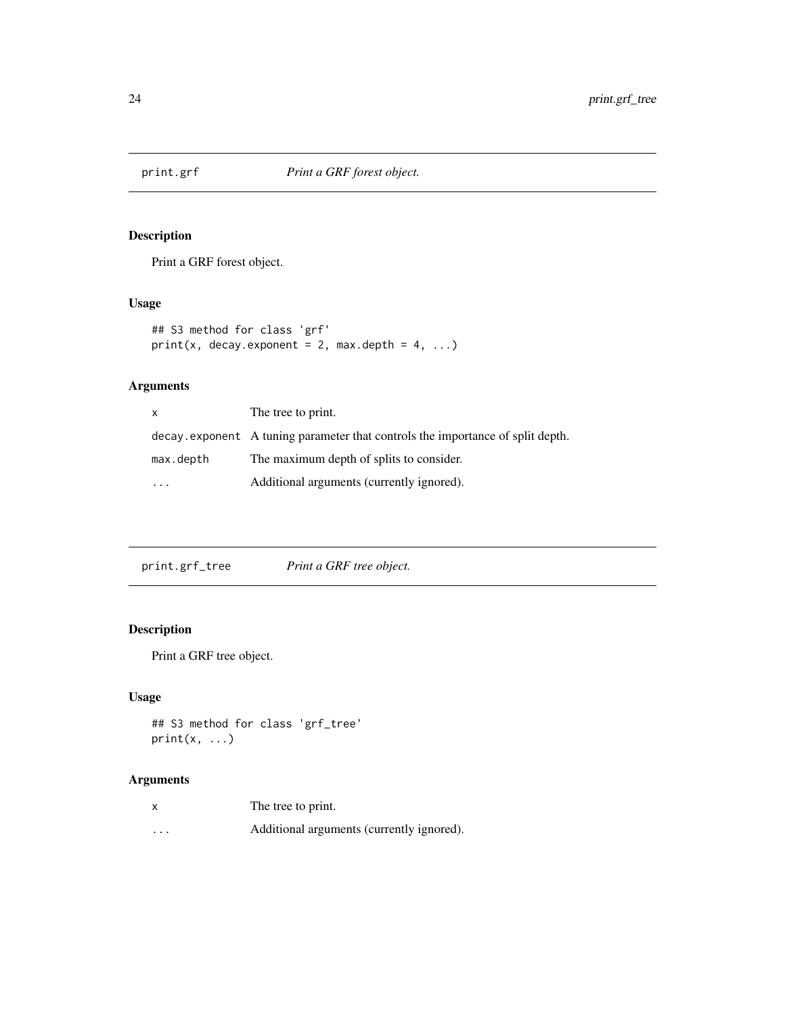<span id="page-23-0"></span>

# Description

Print a GRF forest object.

# Usage

```
## S3 method for class 'grf'
print(x, decay.event = 2, max.depth = 4, ...)
```
# Arguments

| X         | The tree to print.                                                              |
|-----------|---------------------------------------------------------------------------------|
|           | decay, exponent A tuning parameter that controls the importance of split depth. |
| max.depth | The maximum depth of splits to consider.                                        |
|           | Additional arguments (currently ignored).                                       |

print.grf\_tree *Print a GRF tree object.*

# Description

Print a GRF tree object.

# Usage

```
## S3 method for class 'grf_tree'
print(x, \ldots)
```

|         | The tree to print.                        |
|---------|-------------------------------------------|
| $\cdot$ | Additional arguments (currently ignored). |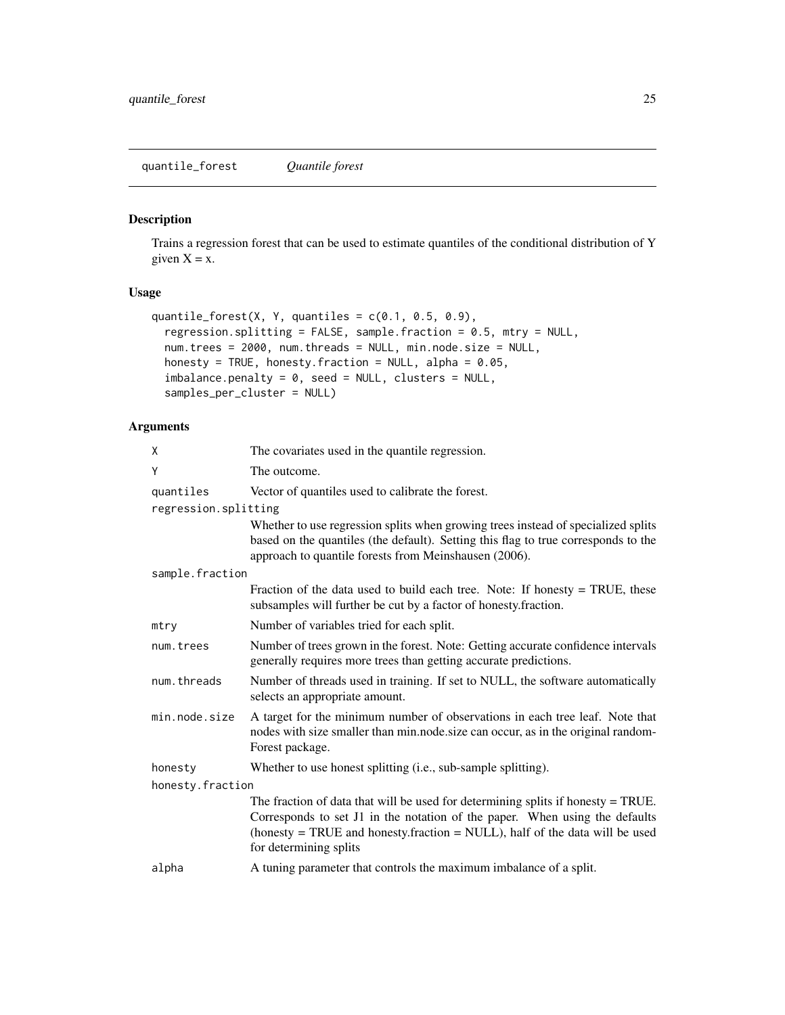# <span id="page-24-0"></span>Description

Trains a regression forest that can be used to estimate quantiles of the conditional distribution of Y given  $X = x$ .

# Usage

```
quantile_forest(X, Y, quantiles = c(0.1, 0.5, 0.9),
  regression.splitting = FALSE, sample.fraction = 0.5, mtry = NULL,
 num.trees = 2000, num.threads = NULL, min.node.size = NULL,
 honesty = TRUE, honesty.fraction = NULL, alpha = 0.05,
  imbalance.penalty = 0, seed = NULL, clusters = NULL,
  samples_per_cluster = NULL)
```

| χ                    | The covariates used in the quantile regression.                                                                                                                                                                                                                               |  |
|----------------------|-------------------------------------------------------------------------------------------------------------------------------------------------------------------------------------------------------------------------------------------------------------------------------|--|
| Y                    | The outcome.                                                                                                                                                                                                                                                                  |  |
| quantiles            | Vector of quantiles used to calibrate the forest.                                                                                                                                                                                                                             |  |
| regression.splitting |                                                                                                                                                                                                                                                                               |  |
|                      | Whether to use regression splits when growing trees instead of specialized splits<br>based on the quantiles (the default). Setting this flag to true corresponds to the<br>approach to quantile forests from Meinshausen (2006).                                              |  |
| sample.fraction      |                                                                                                                                                                                                                                                                               |  |
|                      | Fraction of the data used to build each tree. Note: If honesty = TRUE, these<br>subsamples will further be cut by a factor of honesty.fraction.                                                                                                                               |  |
| mtry                 | Number of variables tried for each split.                                                                                                                                                                                                                                     |  |
| num.trees            | Number of trees grown in the forest. Note: Getting accurate confidence intervals<br>generally requires more trees than getting accurate predictions.                                                                                                                          |  |
| num.threads          | Number of threads used in training. If set to NULL, the software automatically<br>selects an appropriate amount.                                                                                                                                                              |  |
| min.node.size        | A target for the minimum number of observations in each tree leaf. Note that<br>nodes with size smaller than min.node.size can occur, as in the original random-<br>Forest package.                                                                                           |  |
| honesty              | Whether to use honest splitting (i.e., sub-sample splitting).                                                                                                                                                                                                                 |  |
| honesty.fraction     |                                                                                                                                                                                                                                                                               |  |
|                      | The fraction of data that will be used for determining splits if honesty = TRUE.<br>Corresponds to set J1 in the notation of the paper. When using the defaults<br>(honesty $=$ TRUE and honesty. fraction $=$ NULL), half of the data will be used<br>for determining splits |  |
| alpha                | A tuning parameter that controls the maximum imbalance of a split.                                                                                                                                                                                                            |  |
|                      |                                                                                                                                                                                                                                                                               |  |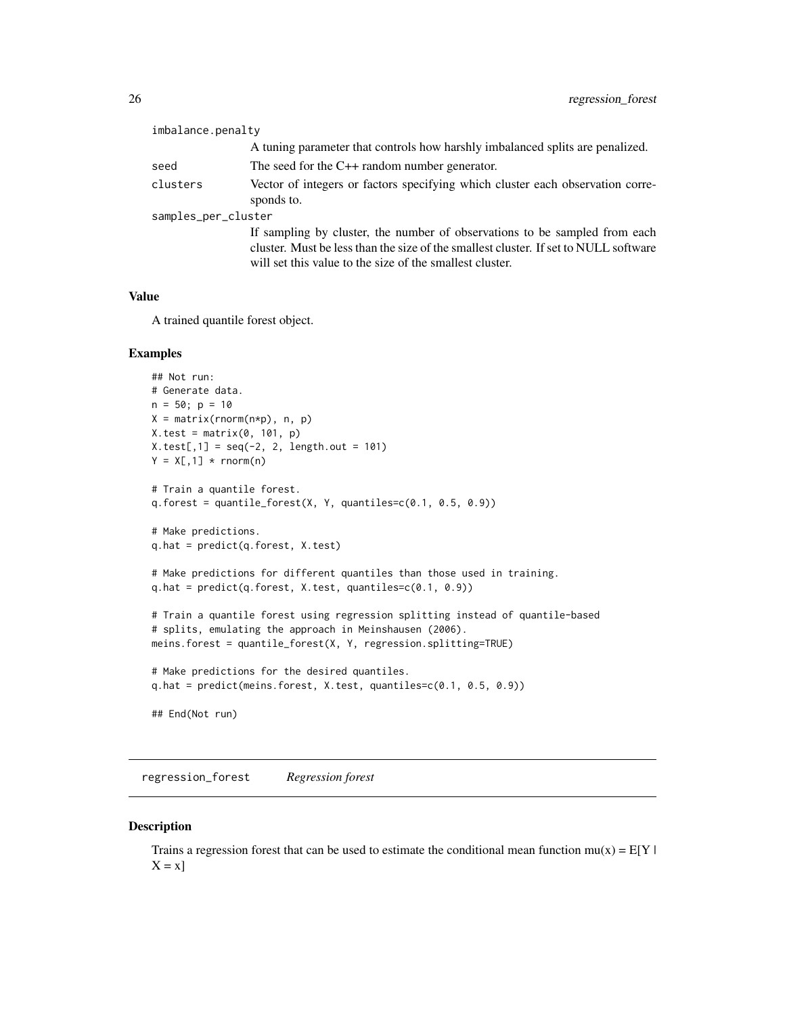<span id="page-25-0"></span>

| imbalance.penalty   |                                                                                                                                                                                                                                |  |
|---------------------|--------------------------------------------------------------------------------------------------------------------------------------------------------------------------------------------------------------------------------|--|
|                     | A tuning parameter that controls how harshly imbalanced splits are penalized.                                                                                                                                                  |  |
| seed                | The seed for the $C++$ random number generator.                                                                                                                                                                                |  |
| clusters            | Vector of integers or factors specifying which cluster each observation corre-<br>sponds to.                                                                                                                                   |  |
| samples_per_cluster |                                                                                                                                                                                                                                |  |
|                     | If sampling by cluster, the number of observations to be sampled from each<br>cluster. Must be less than the size of the smallest cluster. If set to NULL software<br>will set this value to the size of the smallest cluster. |  |

# Value

A trained quantile forest object.

#### Examples

```
## Not run:
# Generate data.
n = 50; p = 10X = matrix(rnorm(n*p), n, p)X.test = matrix(0, 101, p)X.test[, 1] = seq(-2, 2, length.out = 101)Y = X[, 1] * <b>rnorm(n)</b># Train a quantile forest.
q.forest = quantile_forest(X, Y, quantiles=c(0.1, 0.5, 0.9))
# Make predictions.
q.hat = predict(q.forest, X.test)
# Make predictions for different quantiles than those used in training.
q.hat = predict(q.forest, X.test, quantiles=c(0.1, 0.9))
# Train a quantile forest using regression splitting instead of quantile-based
# splits, emulating the approach in Meinshausen (2006).
meins.forest = quantile_forest(X, Y, regression.splitting=TRUE)
# Make predictions for the desired quantiles.
q.hat = predict(meins.forest, X.test, quantiles=c(0.1, 0.5, 0.9))
## End(Not run)
```
regression\_forest *Regression forest*

# Description

Trains a regression forest that can be used to estimate the conditional mean function  $mu(x) = E[Y|$  $X = x$ ]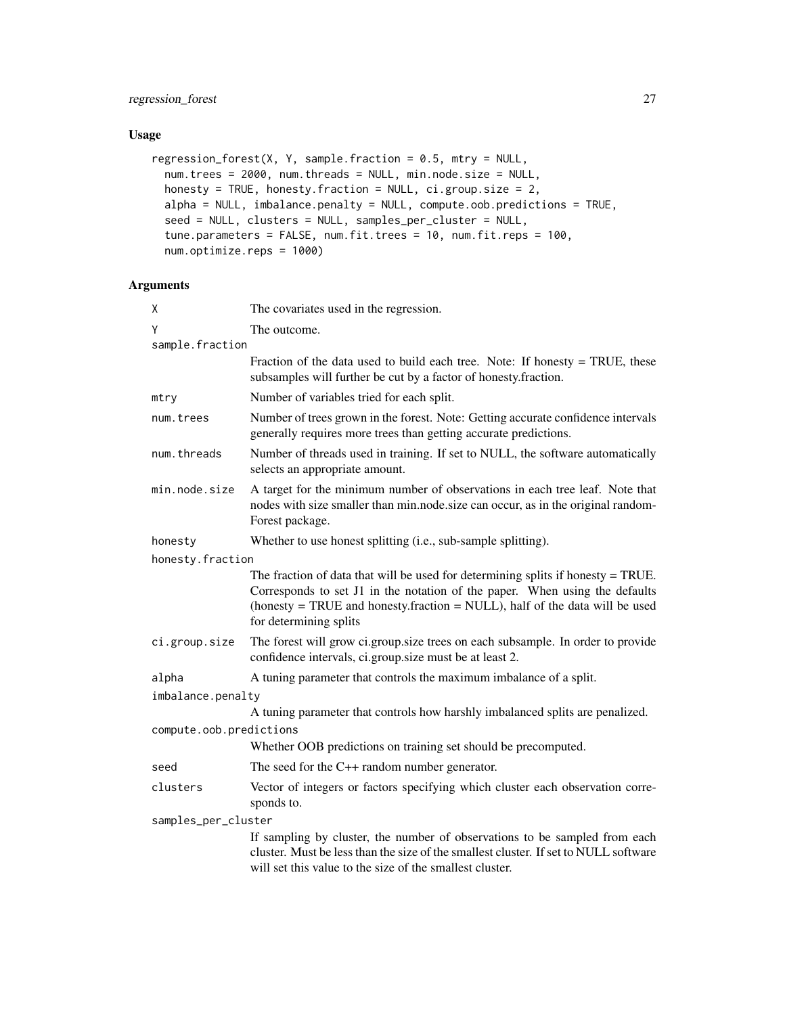# Usage

```
regression_forest(X, Y, sample.fraction = 0.5, mtry = NULL,
 num.trees = 2000, num.threads = NULL, min.node.size = NULL,
 honesty = TRUE, honesty.fraction = NULL, ci.group.size = 2,
 alpha = NULL, imbalance.penalty = NULL, compute.oob.predictions = TRUE,
 seed = NULL, clusters = NULL, samples_per_cluster = NULL,
 tune.parameters = FALSE, num.fit.trees = 10, num.fit.reps = 100,
 num.optimize.reps = 1000)
```

| χ                       | The covariates used in the regression.                                                                                                                                                                                                                                     |  |
|-------------------------|----------------------------------------------------------------------------------------------------------------------------------------------------------------------------------------------------------------------------------------------------------------------------|--|
| Y                       | The outcome.                                                                                                                                                                                                                                                               |  |
| sample.fraction         |                                                                                                                                                                                                                                                                            |  |
|                         | Fraction of the data used to build each tree. Note: If honesty $=$ TRUE, these<br>subsamples will further be cut by a factor of honesty.fraction.                                                                                                                          |  |
| mtry                    | Number of variables tried for each split.                                                                                                                                                                                                                                  |  |
| num.trees               | Number of trees grown in the forest. Note: Getting accurate confidence intervals<br>generally requires more trees than getting accurate predictions.                                                                                                                       |  |
| num.threads             | Number of threads used in training. If set to NULL, the software automatically<br>selects an appropriate amount.                                                                                                                                                           |  |
| min.node.size           | A target for the minimum number of observations in each tree leaf. Note that<br>nodes with size smaller than min.node.size can occur, as in the original random-<br>Forest package.                                                                                        |  |
| honesty                 | Whether to use honest splitting (i.e., sub-sample splitting).                                                                                                                                                                                                              |  |
| honesty.fraction        |                                                                                                                                                                                                                                                                            |  |
|                         | The fraction of data that will be used for determining splits if honesty $=$ TRUE.<br>Corresponds to set J1 in the notation of the paper. When using the defaults<br>(honesty = TRUE and honesty.fraction = NULL), half of the data will be used<br>for determining splits |  |
| ci.group.size           | The forest will grow ci.group.size trees on each subsample. In order to provide<br>confidence intervals, ci.group.size must be at least 2.                                                                                                                                 |  |
| alpha                   | A tuning parameter that controls the maximum imbalance of a split.                                                                                                                                                                                                         |  |
| imbalance.penalty       |                                                                                                                                                                                                                                                                            |  |
|                         | A tuning parameter that controls how harshly imbalanced splits are penalized.                                                                                                                                                                                              |  |
| compute.oob.predictions |                                                                                                                                                                                                                                                                            |  |
|                         | Whether OOB predictions on training set should be precomputed.                                                                                                                                                                                                             |  |
| seed                    | The seed for the $C++$ random number generator.                                                                                                                                                                                                                            |  |
| clusters                | Vector of integers or factors specifying which cluster each observation corre-<br>sponds to.                                                                                                                                                                               |  |
| samples_per_cluster     |                                                                                                                                                                                                                                                                            |  |
|                         | If sampling by cluster, the number of observations to be sampled from each<br>cluster. Must be less than the size of the smallest cluster. If set to NULL software<br>will set this value to the size of the smallest cluster.                                             |  |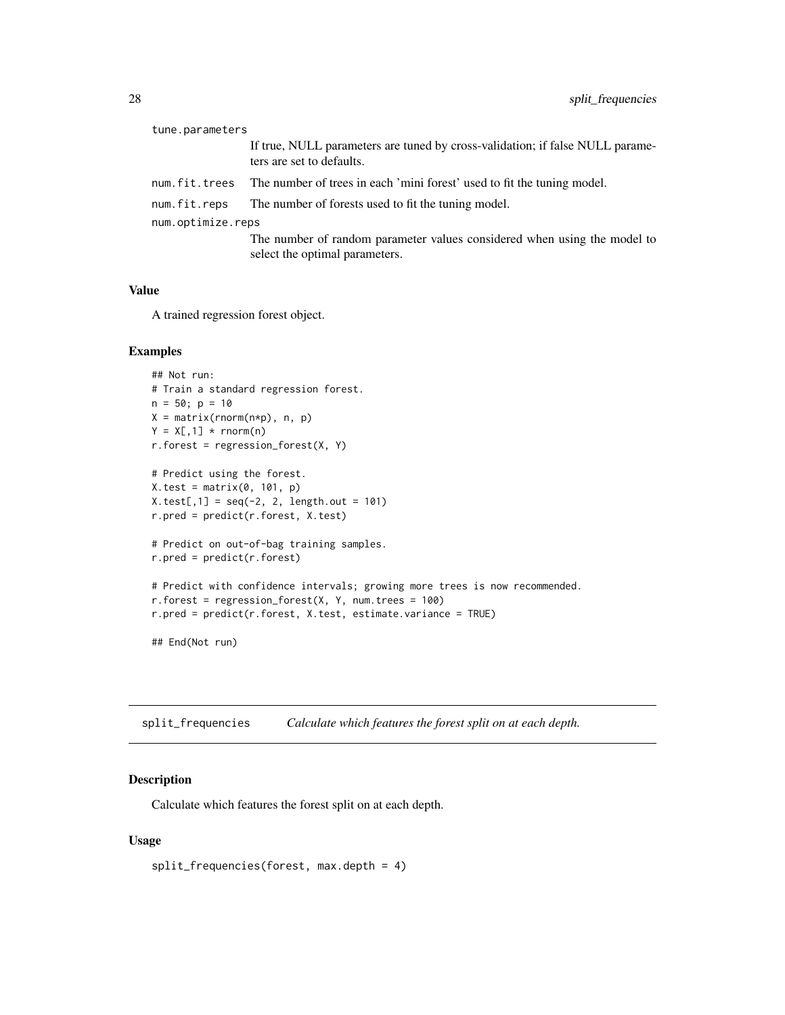<span id="page-27-0"></span>

| tune.parameters   |                                                                                                            |  |
|-------------------|------------------------------------------------------------------------------------------------------------|--|
|                   | If true, NULL parameters are tuned by cross-validation; if false NULL parame-<br>ters are set to defaults. |  |
| num.fit.trees     | The number of trees in each 'mini forest' used to fit the tuning model.                                    |  |
| num.fit.reps      | The number of forests used to fit the tuning model.                                                        |  |
| num.optimize.reps |                                                                                                            |  |
|                   | The number of random parameter values considered when using the model to<br>select the optimal parameters. |  |

#### Value

A trained regression forest object.

#### Examples

```
## Not run:
# Train a standard regression forest.
n = 50; p = 10X = matrix(rnorm(n*p), n, p)Y = X[, 1] * <b>rnorm(n)</b>r.forest = regression_forest(X, Y)# Predict using the forest.
X.test = matrix(0, 101, p)X.test[, 1] = seq(-2, 2, length.out = 101)r.pred = predict(r.forest, X.test)
# Predict on out-of-bag training samples.
r.pred = predict(r.forest)
# Predict with confidence intervals; growing more trees is now recommended.
r.forest = regression_forest(X, Y, num.trees = 100)r.pred = predict(r.forest, X.test, estimate.variance = TRUE)
## End(Not run)
```
split\_frequencies *Calculate which features the forest split on at each depth.*

#### Description

Calculate which features the forest split on at each depth.

# Usage

split\_frequencies(forest, max.depth = 4)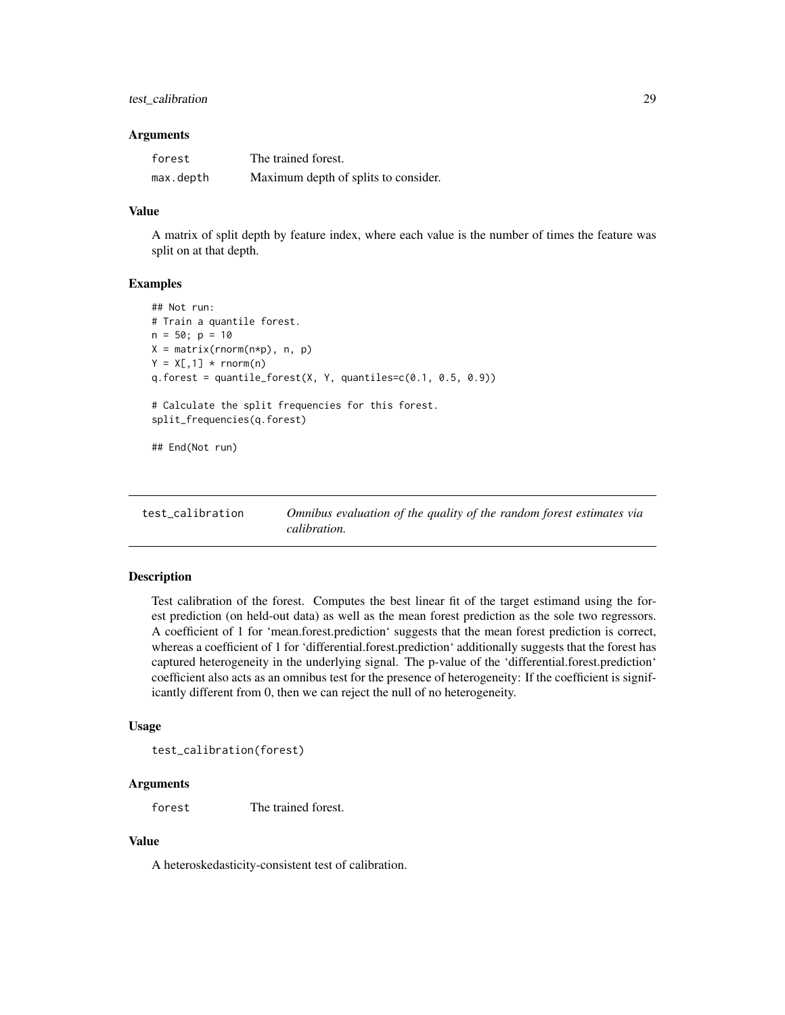# <span id="page-28-0"></span>test\_calibration 29

#### **Arguments**

| forest    | The trained forest.                  |
|-----------|--------------------------------------|
| max.depth | Maximum depth of splits to consider. |

# Value

A matrix of split depth by feature index, where each value is the number of times the feature was split on at that depth.

#### Examples

```
## Not run:
# Train a quantile forest.
n = 50; p = 10X = matrix(rnorm(n*p), n, p)Y = X[, 1] * <b>rnorm(n)</b>q. forest = quantile_forest(X, Y, quantiles=c(0.1, 0.5, 0.9))
# Calculate the split frequencies for this forest.
split_frequencies(q.forest)
## End(Not run)
```

| test calibration | Omnibus evaluation of the quality of the random forest estimates via |
|------------------|----------------------------------------------------------------------|
|                  | <i>calibration.</i>                                                  |

# Description

Test calibration of the forest. Computes the best linear fit of the target estimand using the forest prediction (on held-out data) as well as the mean forest prediction as the sole two regressors. A coefficient of 1 for 'mean.forest.prediction' suggests that the mean forest prediction is correct, whereas a coefficient of 1 for 'differential.forest.prediction' additionally suggests that the forest has captured heterogeneity in the underlying signal. The p-value of the 'differential.forest.prediction' coefficient also acts as an omnibus test for the presence of heterogeneity: If the coefficient is significantly different from 0, then we can reject the null of no heterogeneity.

#### Usage

test\_calibration(forest)

# Arguments

forest The trained forest.

# Value

A heteroskedasticity-consistent test of calibration.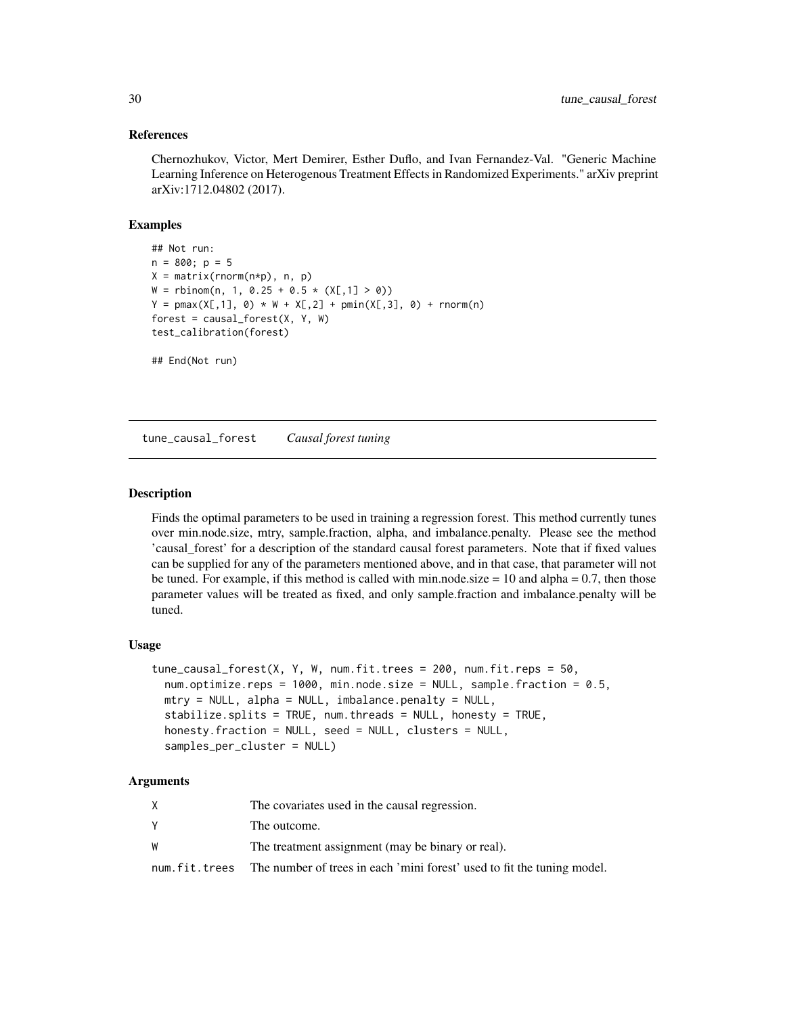#### References

Chernozhukov, Victor, Mert Demirer, Esther Duflo, and Ivan Fernandez-Val. "Generic Machine Learning Inference on Heterogenous Treatment Effects in Randomized Experiments." arXiv preprint arXiv:1712.04802 (2017).

# Examples

```
## Not run:
n = 800; p = 5X = matrix(rnorm(n*p), n, p)W = \text{rbinom}(n, 1, 0.25 + 0.5 \times (X[, 1] > 0)Y = pmax(X[, 1], 0) * W + X[, 2] + pmin(X[, 3], 0) + rnorm(n)forest = causal_forest(X, Y, W)test_calibration(forest)
## End(Not run)
```
tune\_causal\_forest *Causal forest tuning*

#### Description

Finds the optimal parameters to be used in training a regression forest. This method currently tunes over min.node.size, mtry, sample.fraction, alpha, and imbalance.penalty. Please see the method 'causal\_forest' for a description of the standard causal forest parameters. Note that if fixed values can be supplied for any of the parameters mentioned above, and in that case, that parameter will not be tuned. For example, if this method is called with min.node.size  $= 10$  and alpha  $= 0.7$ , then those parameter values will be treated as fixed, and only sample.fraction and imbalance.penalty will be tuned.

#### Usage

```
tune\_causal_forest(X, Y, W, num.fit.trees = 200, num.fit.reps = 50,num.optimize.reps = 1000, min.node.size = NULL, sample.fraction = 0.5,
 mtry = NULL, alpha = NULL, imbalance.penalty = NULL,
 stabilize.splits = TRUE, num.threads = NULL, honesty = TRUE,
 honesty.fraction = NULL, seed = NULL, clusters = NULL,
 samples_per_cluster = NULL)
```

|   | The covariates used in the causal regression.                                           |
|---|-----------------------------------------------------------------------------------------|
|   | The outcome.                                                                            |
| W | The treatment assignment (may be binary or real).                                       |
|   | num. fit. trees The number of trees in each 'mini forest' used to fit the tuning model. |

<span id="page-29-0"></span>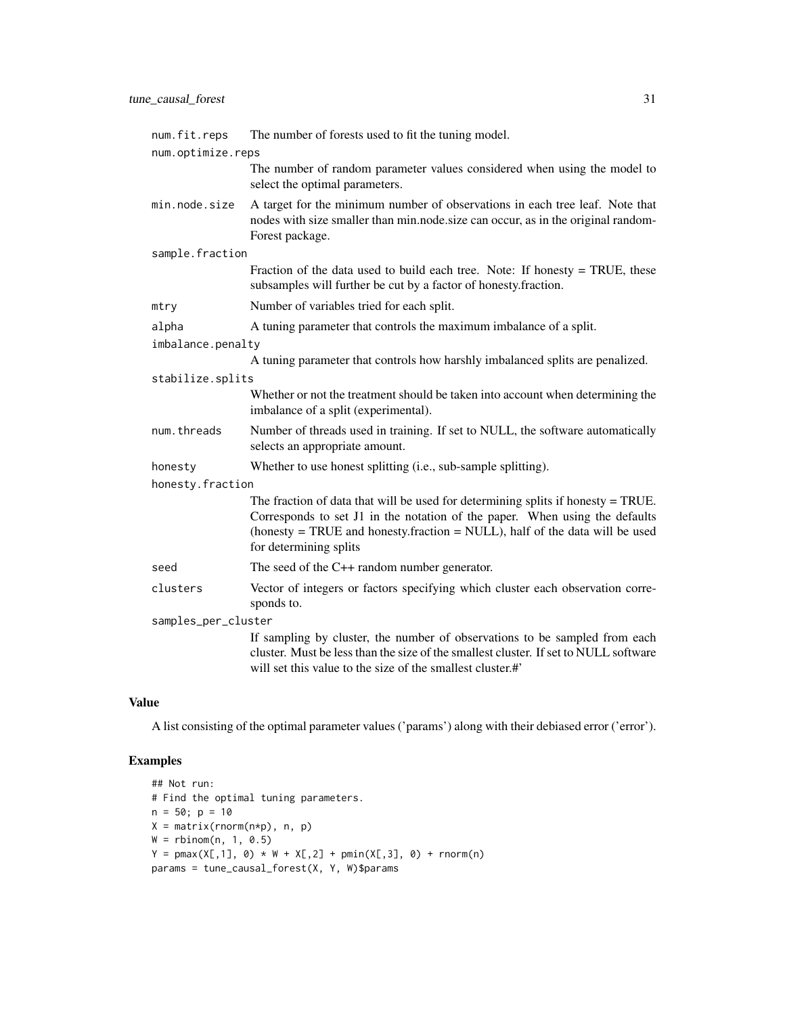| num.fit.reps        | The number of forests used to fit the tuning model.                                                                                                                                                                                                                        |  |
|---------------------|----------------------------------------------------------------------------------------------------------------------------------------------------------------------------------------------------------------------------------------------------------------------------|--|
| num.optimize.reps   |                                                                                                                                                                                                                                                                            |  |
|                     | The number of random parameter values considered when using the model to<br>select the optimal parameters.                                                                                                                                                                 |  |
| min.node.size       | A target for the minimum number of observations in each tree leaf. Note that<br>nodes with size smaller than min.node.size can occur, as in the original random-<br>Forest package.                                                                                        |  |
| sample.fraction     |                                                                                                                                                                                                                                                                            |  |
|                     | Fraction of the data used to build each tree. Note: If honesty $=$ TRUE, these<br>subsamples will further be cut by a factor of honesty.fraction.                                                                                                                          |  |
| mtry                | Number of variables tried for each split.                                                                                                                                                                                                                                  |  |
| alpha               | A tuning parameter that controls the maximum imbalance of a split.                                                                                                                                                                                                         |  |
| imbalance.penalty   |                                                                                                                                                                                                                                                                            |  |
|                     | A tuning parameter that controls how harshly imbalanced splits are penalized.                                                                                                                                                                                              |  |
| stabilize.splits    |                                                                                                                                                                                                                                                                            |  |
|                     | Whether or not the treatment should be taken into account when determining the<br>imbalance of a split (experimental).                                                                                                                                                     |  |
| num.threads         | Number of threads used in training. If set to NULL, the software automatically<br>selects an appropriate amount.                                                                                                                                                           |  |
| honesty             | Whether to use honest splitting (i.e., sub-sample splitting).                                                                                                                                                                                                              |  |
| honesty.fraction    |                                                                                                                                                                                                                                                                            |  |
|                     | The fraction of data that will be used for determining splits if honesty $=$ TRUE.<br>Corresponds to set J1 in the notation of the paper. When using the defaults<br>(honesty = TRUE and honesty.fraction = NULL), half of the data will be used<br>for determining splits |  |
| seed                | The seed of the $C++$ random number generator.                                                                                                                                                                                                                             |  |
| clusters            | Vector of integers or factors specifying which cluster each observation corre-<br>sponds to.                                                                                                                                                                               |  |
| samples_per_cluster |                                                                                                                                                                                                                                                                            |  |
|                     | If sampling by cluster, the number of observations to be sampled from each<br>cluster. Must be less than the size of the smallest cluster. If set to NULL software<br>will set this value to the size of the smallest cluster.#'                                           |  |

# Value

A list consisting of the optimal parameter values ('params') along with their debiased error ('error').

# Examples

```
## Not run:
# Find the optimal tuning parameters.
n = 50; p = 10X = matrix(rnorm(n*p), n, p)W = rbinom(n, 1, 0.5)Y = pmax(X[, 1], 0) * W + X[, 2] + pmin(X[, 3], 0) + rnorm(n)params = tune_causal_forest(X, Y, W)$params
```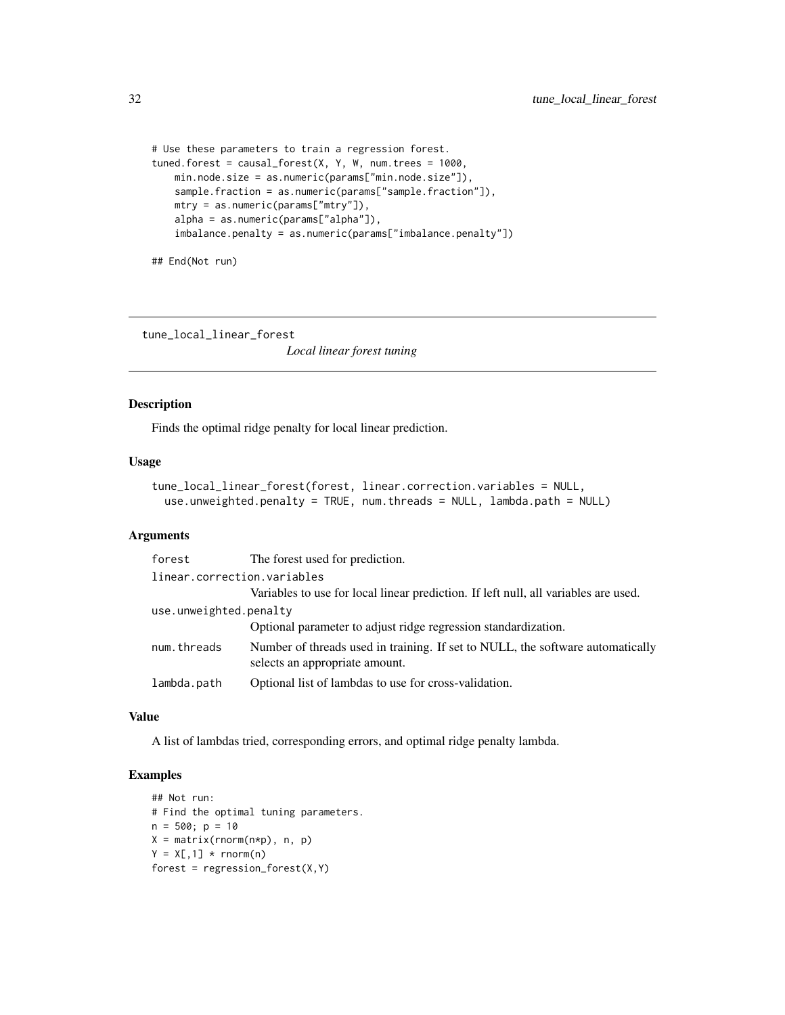```
# Use these parameters to train a regression forest.
tuned.forest = causal_forest(X, Y, W, num.trees = 1000,
   min.node.size = as.numeric(params["min.node.size"]),
   sample.fraction = as.numeric(params["sample.fraction"]),
   mtry = as.numeric(params["mtry"]),
   alpha = as.numeric(params["alpha"]),
    imbalance.penalty = as.numeric(params["imbalance.penalty"])
```
## End(Not run)

tune\_local\_linear\_forest

*Local linear forest tuning*

#### Description

Finds the optimal ridge penalty for local linear prediction.

#### Usage

```
tune_local_linear_forest(forest, linear.correction.variables = NULL,
 use.unweighted.penalty = TRUE, num.threads = NULL, lambda.path = NULL)
```
# Arguments

| forest                      | The forest used for prediction.                                                                                  |
|-----------------------------|------------------------------------------------------------------------------------------------------------------|
| linear.correction.variables |                                                                                                                  |
|                             | Variables to use for local linear prediction. If left null, all variables are used.                              |
| use.unweighted.penalty      |                                                                                                                  |
|                             | Optional parameter to adjust ridge regression standardization.                                                   |
| num.threads                 | Number of threads used in training. If set to NULL, the software automatically<br>selects an appropriate amount. |
| lambda.path                 | Optional list of lambdas to use for cross-validation.                                                            |

#### Value

A list of lambdas tried, corresponding errors, and optimal ridge penalty lambda.

# Examples

```
## Not run:
# Find the optimal tuning parameters.
n = 500; p = 10X = matrix(rnorm(n*p), n, p)Y = X[, 1] * <b>rnorm(n)</b>forest = regression_fonest(X,Y)
```
<span id="page-31-0"></span>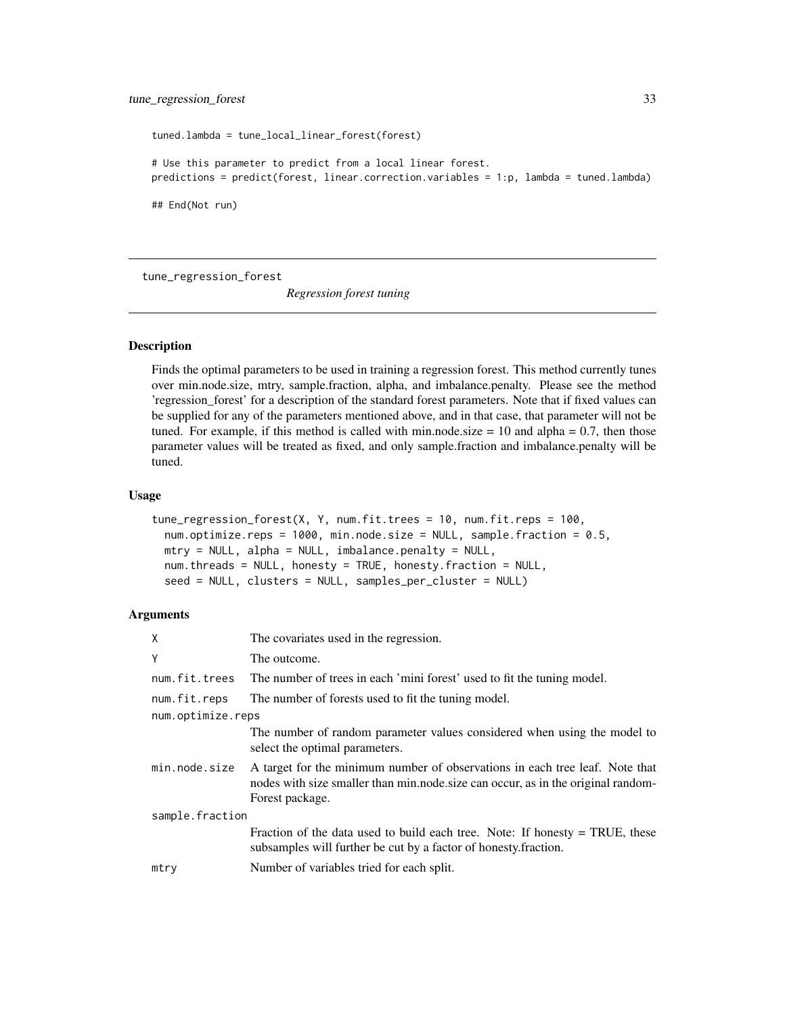```
tuned.lambda = tune_local_linear_forest(forest)
# Use this parameter to predict from a local linear forest.
predictions = predict(forest, linear.correction.variables = 1:p, lambda = tuned.lambda)
## End(Not run)
```
tune\_regression\_forest

*Regression forest tuning*

# Description

Finds the optimal parameters to be used in training a regression forest. This method currently tunes over min.node.size, mtry, sample.fraction, alpha, and imbalance.penalty. Please see the method 'regression\_forest' for a description of the standard forest parameters. Note that if fixed values can be supplied for any of the parameters mentioned above, and in that case, that parameter will not be tuned. For example, if this method is called with min.node.size  $= 10$  and alpha  $= 0.7$ , then those parameter values will be treated as fixed, and only sample.fraction and imbalance.penalty will be tuned.

#### Usage

```
tune_regression_forest(X, Y, num.fit.trees = 10, num.fit.reps = 100,
 num.optimize.reps = 1000, min.node.size = NULL, sample.fraction = 0.5,
 mtry = NULL, alpha = NULL, imbalance.penalty = NULL,
 num.threads = NULL, honesty = TRUE, honesty.fraction = NULL,
  seed = NULL, clusters = NULL, samples_per_cluster = NULL)
```

| Χ                 | The covariates used in the regression.                                                                                                                                              |  |
|-------------------|-------------------------------------------------------------------------------------------------------------------------------------------------------------------------------------|--|
| Υ                 | The outcome.                                                                                                                                                                        |  |
| num.fit.trees     | The number of trees in each 'mini forest' used to fit the tuning model.                                                                                                             |  |
| num.fit.reps      | The number of forests used to fit the tuning model.                                                                                                                                 |  |
| num.optimize.reps |                                                                                                                                                                                     |  |
|                   | The number of random parameter values considered when using the model to<br>select the optimal parameters.                                                                          |  |
| min.node.size     | A target for the minimum number of observations in each tree leaf. Note that<br>nodes with size smaller than min.node.size can occur, as in the original random-<br>Forest package. |  |
| sample.fraction   |                                                                                                                                                                                     |  |
|                   | Fraction of the data used to build each tree. Note: If honesty $=$ TRUE, these<br>subsamples will further be cut by a factor of honesty fraction.                                   |  |
| mtry              | Number of variables tried for each split.                                                                                                                                           |  |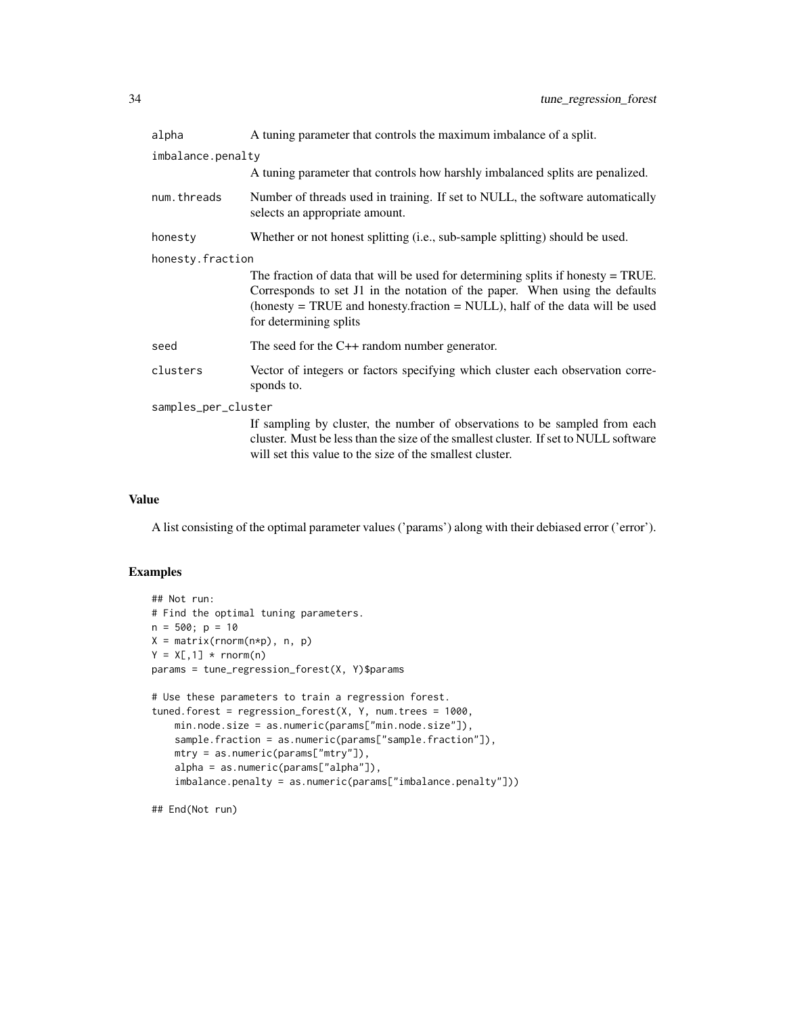| alpha               | A tuning parameter that controls the maximum imbalance of a split.                                                                                                                                                                                                          |  |
|---------------------|-----------------------------------------------------------------------------------------------------------------------------------------------------------------------------------------------------------------------------------------------------------------------------|--|
| imbalance.penalty   | A tuning parameter that controls how harshly imbalanced splits are penalized.                                                                                                                                                                                               |  |
| num.threads         | Number of threads used in training. If set to NULL, the software automatically<br>selects an appropriate amount.                                                                                                                                                            |  |
| honesty             | Whether or not honest splitting (i.e., sub-sample splitting) should be used.                                                                                                                                                                                                |  |
| honesty.fraction    | The fraction of data that will be used for determining splits if honesty $=$ TRUE.<br>Corresponds to set J1 in the notation of the paper. When using the defaults<br>(honesty = TRUE and honesty, fraction = NULL), half of the data will be used<br>for determining splits |  |
| seed                | The seed for the $C++$ random number generator.                                                                                                                                                                                                                             |  |
| clusters            | Vector of integers or factors specifying which cluster each observation corre-<br>sponds to.                                                                                                                                                                                |  |
| samples_per_cluster |                                                                                                                                                                                                                                                                             |  |
|                     | If sampling by cluster, the number of observations to be sampled from each<br>cluster. Must be less than the size of the smallest cluster. If set to NULL software<br>will set this value to the size of the smallest cluster.                                              |  |

#### Value

A list consisting of the optimal parameter values ('params') along with their debiased error ('error').

# Examples

```
## Not run:
# Find the optimal tuning parameters.
n = 500; p = 10X = matrix(rnorm(n*p), n, p)Y = X[, 1] * <b>rnorm(n)</b>params = tune_regression_forest(X, Y)$params
# Use these parameters to train a regression forest.
tuned.forest = regression_forest(X, Y, num.trees = 1000,
    min.node.size = as.numeric(params["min.node.size"]),
    sample.fraction = as.numeric(params["sample.fraction"]),
    mtry = as.numeric(params["mtry"]),
    alpha = as.numeric(params["alpha"]),
    imbalance.penalty = as.numeric(params["imbalance.penalty"]))
```
## End(Not run)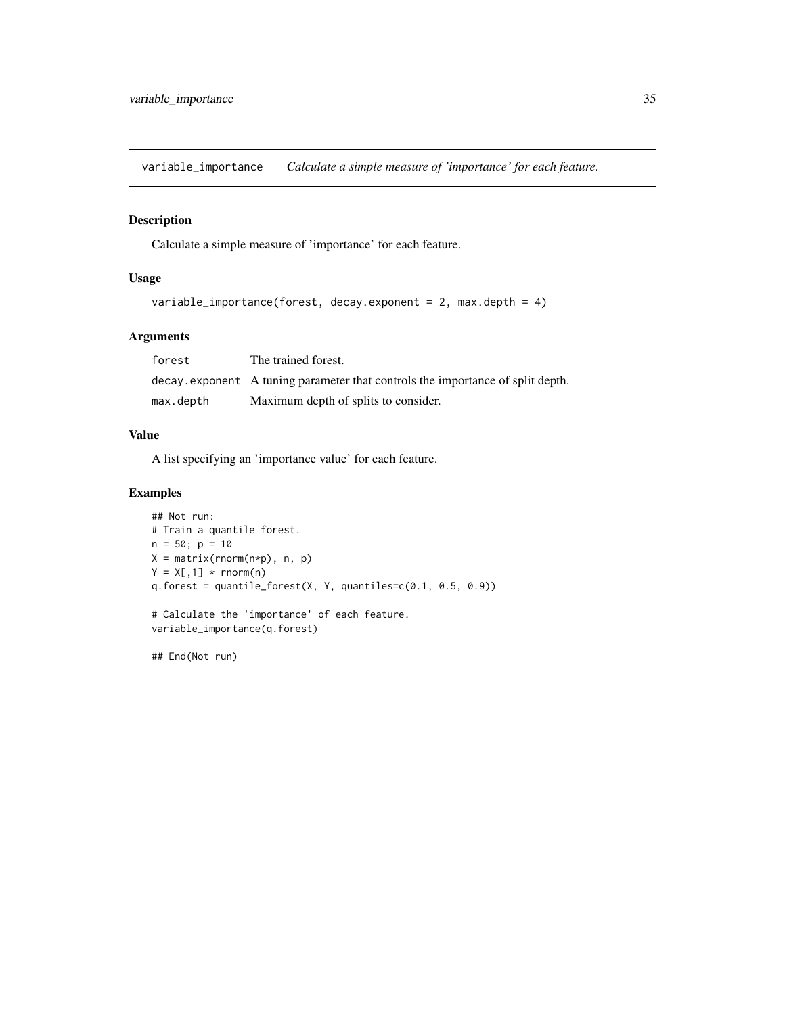<span id="page-34-0"></span>variable\_importance *Calculate a simple measure of 'importance' for each feature.*

# Description

Calculate a simple measure of 'importance' for each feature.

# Usage

```
variable_importance(forest, decay.exponent = 2, max.depth = 4)
```
# Arguments

| forest    | The trained forest.                                                            |
|-----------|--------------------------------------------------------------------------------|
|           | decay exponent A tuning parameter that controls the importance of split depth. |
| max.depth | Maximum depth of splits to consider.                                           |

# Value

A list specifying an 'importance value' for each feature.

# Examples

```
## Not run:
# Train a quantile forest.
n = 50; p = 10X = matrix(rnorm(n*p), n, p)Y = X[, 1] * <b>rnorm(n)</b>q.forest = quantile_forest(X, Y, quantiles=c(0.1, 0.5, 0.9))
# Calculate the 'importance' of each feature.
variable_importance(q.forest)
```
## End(Not run)